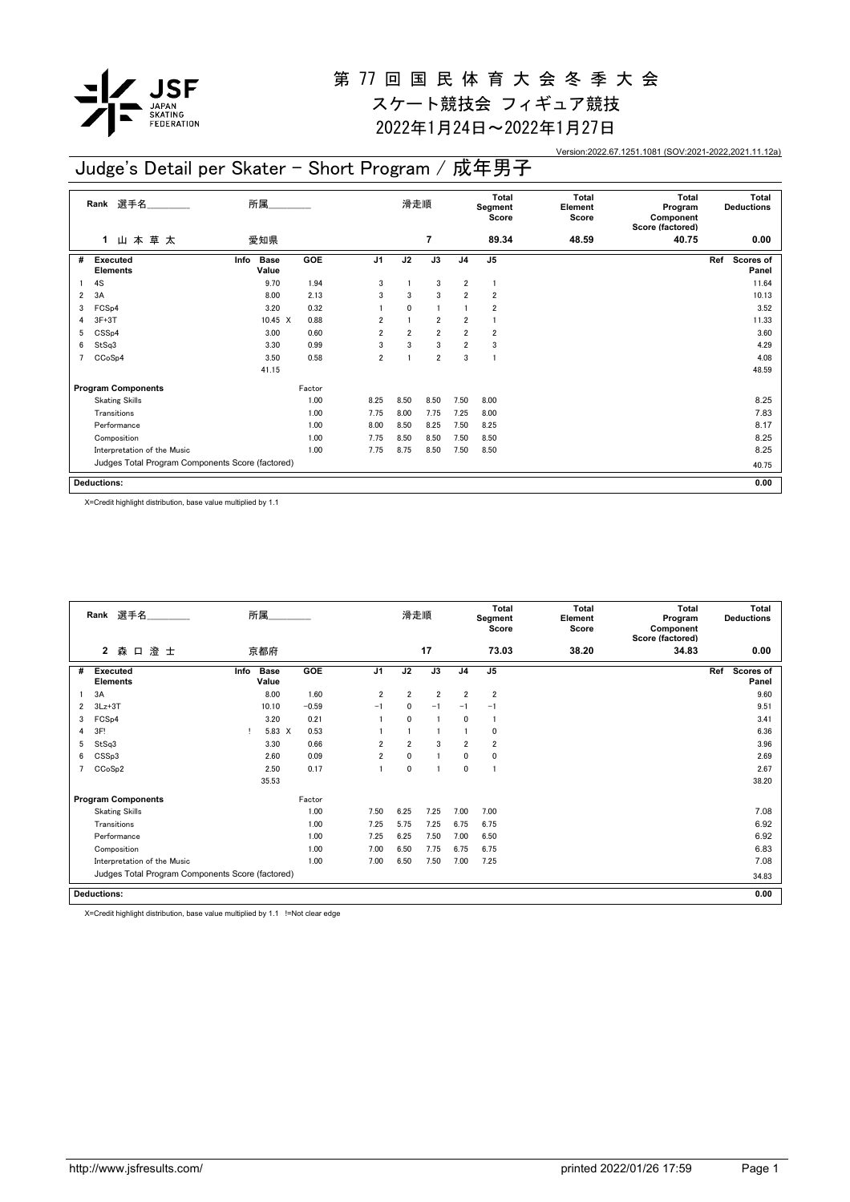

スケート競技会 フィギュア競技 2022年1月24日~2022年1月27日

Version:2022.67.1251.1081 (SOV:2021-2022,2021.11.12a)

### Judge's Detail per Skater - Short Program / 成年男子

|                | 選手名<br>Rank                                      | 所属                           |            |                | 滑走順            |                |                | Total<br>Segment<br>Score | <b>Total</b><br>Element<br><b>Score</b> | <b>Total</b><br>Program<br>Component<br>Score (factored) | Total<br><b>Deductions</b> |
|----------------|--------------------------------------------------|------------------------------|------------|----------------|----------------|----------------|----------------|---------------------------|-----------------------------------------|----------------------------------------------------------|----------------------------|
|                | 山本草太<br>1                                        | 愛知県                          |            |                |                | $\overline{7}$ |                | 89.34                     | 48.59                                   | 40.75                                                    | 0.00                       |
| #              | Executed<br><b>Elements</b>                      | <b>Base</b><br>Info<br>Value | <b>GOE</b> | J <sub>1</sub> | J2             | J3             | J <sub>4</sub> | J5                        |                                         |                                                          | Scores of<br>Ref<br>Panel  |
|                | 4S                                               | 9.70                         | 1.94       | 3              |                | 3              | $\overline{2}$ |                           |                                         |                                                          | 11.64                      |
| 2              | 3A                                               | 8.00                         | 2.13       | 3              | 3              | 3              | $\overline{2}$ | $\overline{\mathbf{2}}$   |                                         |                                                          | 10.13                      |
| 3              | FCS <sub>p4</sub>                                | 3.20                         | 0.32       |                | $\mathbf{0}$   | $\mathbf{1}$   |                | 2                         |                                         |                                                          | 3.52                       |
| 4              | $3F+3T$                                          | 10.45 X                      | 0.88       | $\overline{2}$ |                | $\overline{2}$ | $\overline{2}$ |                           |                                         |                                                          | 11.33                      |
| 5              | CSS <sub>p4</sub>                                | 3.00                         | 0.60       | $\overline{2}$ | $\overline{2}$ | $\overline{2}$ | $\overline{2}$ | $\overline{\mathbf{2}}$   |                                         |                                                          | 3.60                       |
| 6              | StSq3                                            | 3.30                         | 0.99       | 3              | 3              | 3              | $\overline{2}$ | 3                         |                                         |                                                          | 4.29                       |
| $\overline{7}$ | CCoSp4                                           | 3.50                         | 0.58       | $\overline{2}$ |                | $\overline{2}$ | 3              | -1                        |                                         |                                                          | 4.08                       |
|                |                                                  | 41.15                        |            |                |                |                |                |                           |                                         |                                                          | 48.59                      |
|                | <b>Program Components</b>                        |                              | Factor     |                |                |                |                |                           |                                         |                                                          |                            |
|                | <b>Skating Skills</b>                            |                              | 1.00       | 8.25           | 8.50           | 8.50           | 7.50           | 8.00                      |                                         |                                                          | 8.25                       |
|                | Transitions                                      |                              | 1.00       | 7.75           | 8.00           | 7.75           | 7.25           | 8.00                      |                                         |                                                          | 7.83                       |
|                | Performance                                      |                              | 1.00       | 8.00           | 8.50           | 8.25           | 7.50           | 8.25                      |                                         |                                                          | 8.17                       |
|                | Composition                                      |                              | 1.00       | 7.75           | 8.50           | 8.50           | 7.50           | 8.50                      |                                         |                                                          | 8.25                       |
|                | Interpretation of the Music                      |                              | 1.00       | 7.75           | 8.75           | 8.50           | 7.50           | 8.50                      |                                         |                                                          | 8.25                       |
|                | Judges Total Program Components Score (factored) |                              |            |                |                |                |                |                           |                                         |                                                          | 40.75                      |
|                | <b>Deductions:</b>                               |                              |            |                |                |                |                |                           |                                         |                                                          | 0.00                       |

X=Credit highlight distribution, base value multiplied by 1.1

|   | Rank 選手名                                         |      | 所属.                  |            |                | 滑走順            |                |                | <b>Total</b><br>Segment<br>Score | Total<br>Element<br>Score | <b>Total</b><br>Program<br>Component<br>Score (factored) |     | Total<br><b>Deductions</b> |
|---|--------------------------------------------------|------|----------------------|------------|----------------|----------------|----------------|----------------|----------------------------------|---------------------------|----------------------------------------------------------|-----|----------------------------|
|   | $\mathbf{2}$<br>澄士<br>森 口                        |      | 京都府                  |            |                |                | 17             |                | 73.03                            | 38.20                     | 34.83                                                    |     | 0.00                       |
| # | <b>Executed</b><br><b>Elements</b>               | Info | <b>Base</b><br>Value | <b>GOE</b> | J <sub>1</sub> | J2             | J3             | J <sub>4</sub> | J <sub>5</sub>                   |                           |                                                          | Ref | <b>Scores of</b><br>Panel  |
|   | 3A                                               |      | 8.00                 | 1.60       | $\overline{2}$ | $\overline{2}$ | $\overline{2}$ | $\overline{2}$ | $\overline{2}$                   |                           |                                                          |     | 9.60                       |
| 2 | $3Lz + 3T$                                       |      | 10.10                | $-0.59$    | $-1$           | $\mathbf{0}$   | $-1$           | $-1$           | $-1$                             |                           |                                                          |     | 9.51                       |
| 3 | FCS <sub>p4</sub>                                |      | 3.20                 | 0.21       |                | $\mathbf{0}$   |                | $\mathbf{0}$   |                                  |                           |                                                          |     | 3.41                       |
| 4 | 3F!                                              |      | 5.83 X               | 0.53       |                |                |                |                | $\mathbf 0$                      |                           |                                                          |     | 6.36                       |
| 5 | StSq3                                            |      | 3.30                 | 0.66       | 2              | $\overline{2}$ | 3              | $\overline{2}$ | $\overline{2}$                   |                           |                                                          |     | 3.96                       |
| 6 | CSS <sub>p3</sub>                                |      | 2.60                 | 0.09       | $\overline{2}$ | $\mathbf 0$    | 1              | $\mathbf 0$    | $\mathbf 0$                      |                           |                                                          |     | 2.69                       |
| 7 | CCoSp2                                           |      | 2.50                 | 0.17       |                | $\mathbf 0$    |                | $\mathbf 0$    | -1                               |                           |                                                          |     | 2.67                       |
|   |                                                  |      | 35.53                |            |                |                |                |                |                                  |                           |                                                          |     | 38.20                      |
|   | <b>Program Components</b>                        |      |                      | Factor     |                |                |                |                |                                  |                           |                                                          |     |                            |
|   | <b>Skating Skills</b>                            |      |                      | 1.00       | 7.50           | 6.25           | 7.25           | 7.00           | 7.00                             |                           |                                                          |     | 7.08                       |
|   | Transitions                                      |      |                      | 1.00       | 7.25           | 5.75           | 7.25           | 6.75           | 6.75                             |                           |                                                          |     | 6.92                       |
|   | Performance                                      |      |                      | 1.00       | 7.25           | 6.25           | 7.50           | 7.00           | 6.50                             |                           |                                                          |     | 6.92                       |
|   | Composition                                      |      |                      | 1.00       | 7.00           | 6.50           | 7.75           | 6.75           | 6.75                             |                           |                                                          |     | 6.83                       |
|   | Interpretation of the Music                      |      |                      | 1.00       | 7.00           | 6.50           | 7.50           | 7.00           | 7.25                             |                           |                                                          |     | 7.08                       |
|   | Judges Total Program Components Score (factored) |      |                      |            |                |                |                |                |                                  |                           |                                                          |     | 34.83                      |
|   | <b>Deductions:</b>                               |      |                      |            |                |                |                |                |                                  |                           |                                                          |     | 0.00                       |

X=Credit highlight distribution, base value multiplied by 1.1 !=Not clear edge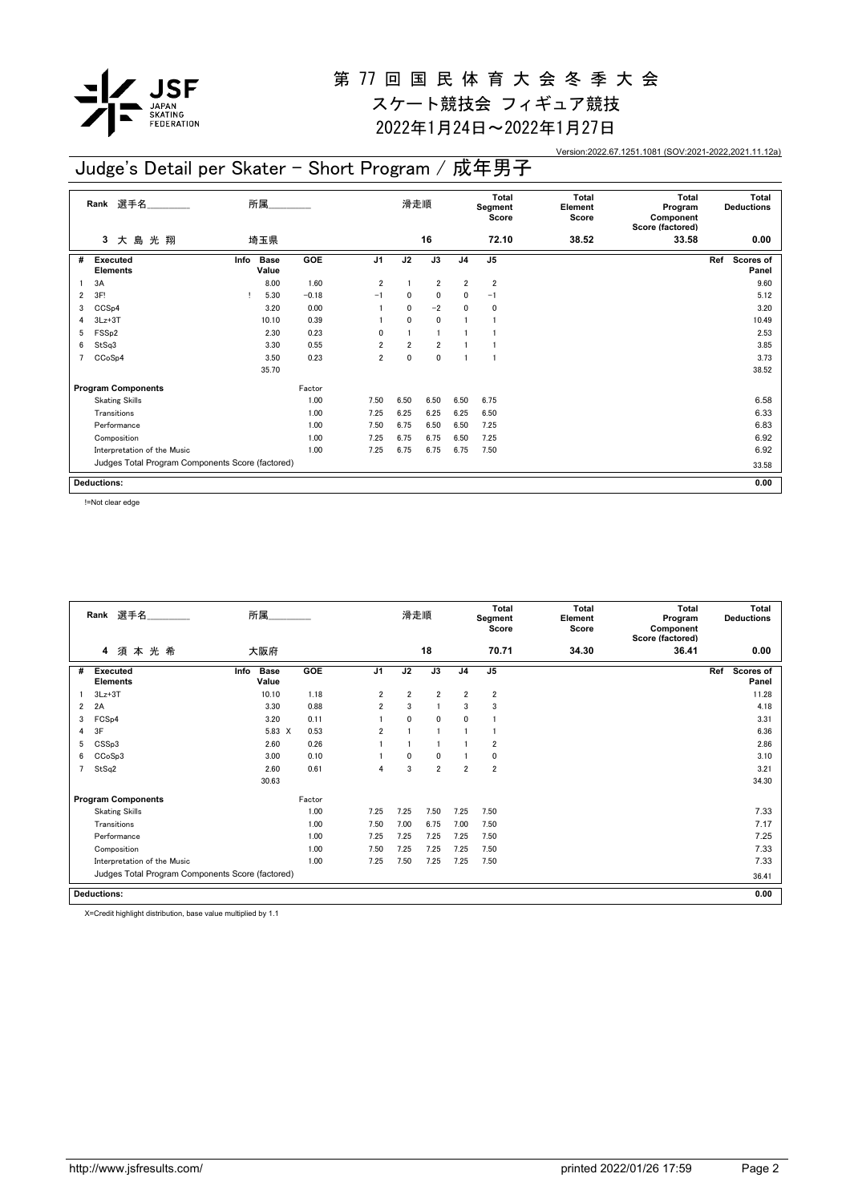

スケート競技会 フィギュア競技

2022年1月24日~2022年1月27日

Version:2022.67.1251.1081 (SOV:2021-2022,2021.11.12a)

#### **3** 大 島 光 翔 **Rank** 選手名\_\_\_\_\_\_\_\_\_\_\_\_\_\_ 滑走順 **Total Segment Score Total Element Score Total Program Component Score (factored) Total Deductions** 埼玉県 **16 72.10 38.52 33.58 0.00 Executed Elements** # Executed Info Base GOE J1 J2 J3 J4 J5 Ref Scores of **Panel Info GOE J1 J2 J3 J4 J5 Ref Program Components** Factor<br>
Skating Skills 1.00 Judges Total Program Components Score (factored) **Deductions:** 所属\_\_\_\_\_\_\_\_\_\_\_\_\_\_ **0.00** Info Base **Value** 1 3A 8.00 1.60 2 1 2 2 2 2 9.60 2 3F! ! 5.30 -0.18 -1 0 0 0 -1 5.12 3 CCSp4 3.20 0.00 1 0 -2 0 0 3.20 4 3Lz+3T 10.10 0.39 1 0 0 1 1 2 10.49 10.49  $5 \text{ FSSp2}$  2.30 0.23 0 1 1 1 1 2.53  $6$  StSq3 3.30  $3.30$   $0.55$   $2$   $2$   $1$   $1$ 7 CCoSp4 3.50 0.23 2 0 0 1 1 3.73 35.70 38.52 Skating Skills 1.00 1.00 7.50 6.50 6.50 6.50 6.75 6.50 6.75 6.58 6.75 Transitions 1.00 7.25 6.25 6.25 6.25 6.50 6.33 Performance 1.00 7.50 6.75 6.50 6.50 7.25 6.83 Composition 1.00 7.25 6.75 6.75 6.50 7.25 6.92 Interpretation of the Music **1.00** 7.25 6.75 6.75 6.75 7.50 **6.92** 6.92 33.58 Judge's Detail per Skater - Short Program / 成年男子

!=Not clear edge

|                | 選手名<br>Rank                                      | 所属                           |        |                | 滑走順            |                |                | Total<br>Segment<br>Score | <b>Total</b><br>Element<br>Score | Total<br>Program<br>Component<br>Score (factored) | Total<br><b>Deductions</b> |
|----------------|--------------------------------------------------|------------------------------|--------|----------------|----------------|----------------|----------------|---------------------------|----------------------------------|---------------------------------------------------|----------------------------|
|                | 須本光希<br>4                                        | 大阪府                          |        |                |                | 18             |                | 70.71                     | 34.30                            | 36.41                                             | 0.00                       |
| #              | <b>Executed</b><br><b>Elements</b>               | <b>Base</b><br>Info<br>Value | GOE    | J <sub>1</sub> | J2             | J3             | J <sub>4</sub> | J <sub>5</sub>            |                                  |                                                   | Scores of<br>Ref<br>Panel  |
|                | $3Lz + 3T$                                       | 10.10                        | 1.18   | $\overline{2}$ | $\overline{2}$ | $\overline{2}$ | $\overline{2}$ | $\overline{2}$            |                                  |                                                   | 11.28                      |
| $\overline{2}$ | 2A                                               | 3.30                         | 0.88   | $\overline{2}$ | 3              | $\blacksquare$ | 3              | 3                         |                                  |                                                   | 4.18                       |
| 3              | FCS <sub>p4</sub>                                | 3.20                         | 0.11   |                | $\mathbf{0}$   | $\mathbf{0}$   | 0              |                           |                                  |                                                   | 3.31                       |
| 4              | 3F                                               | 5.83 X                       | 0.53   | $\overline{2}$ |                |                |                |                           |                                  |                                                   | 6.36                       |
| 5              | CSSp3                                            | 2.60                         | 0.26   |                |                |                |                | $\overline{2}$            |                                  |                                                   | 2.86                       |
| 6              | CCoSp3                                           | 3.00                         | 0.10   |                | $\mathbf{0}$   | $\mathbf{0}$   |                | $\mathbf 0$               |                                  |                                                   | 3.10                       |
|                | StSq2                                            | 2.60                         | 0.61   | 4              | 3              | $\overline{2}$ | $\overline{2}$ | $\overline{2}$            |                                  |                                                   | 3.21                       |
|                |                                                  | 30.63                        |        |                |                |                |                |                           |                                  |                                                   | 34.30                      |
|                | <b>Program Components</b>                        |                              | Factor |                |                |                |                |                           |                                  |                                                   |                            |
|                | <b>Skating Skills</b>                            |                              | 1.00   | 7.25           | 7.25           | 7.50           | 7.25           | 7.50                      |                                  |                                                   | 7.33                       |
|                | Transitions                                      |                              | 1.00   | 7.50           | 7.00           | 6.75           | 7.00           | 7.50                      |                                  |                                                   | 7.17                       |
|                | Performance                                      |                              | 1.00   | 7.25           | 7.25           | 7.25           | 7.25           | 7.50                      |                                  |                                                   | 7.25                       |
|                | Composition                                      |                              | 1.00   | 7.50           | 7.25           | 7.25           | 7.25           | 7.50                      |                                  |                                                   | 7.33                       |
|                | Interpretation of the Music                      |                              | 1.00   | 7.25           | 7.50           | 7.25           | 7.25           | 7.50                      |                                  |                                                   | 7.33                       |
|                | Judges Total Program Components Score (factored) |                              |        |                |                |                |                |                           |                                  |                                                   | 36.41                      |
|                | <b>Deductions:</b>                               |                              |        |                |                |                |                |                           |                                  |                                                   | 0.00                       |

X=Credit highlight distribution, base value multiplied by 1.1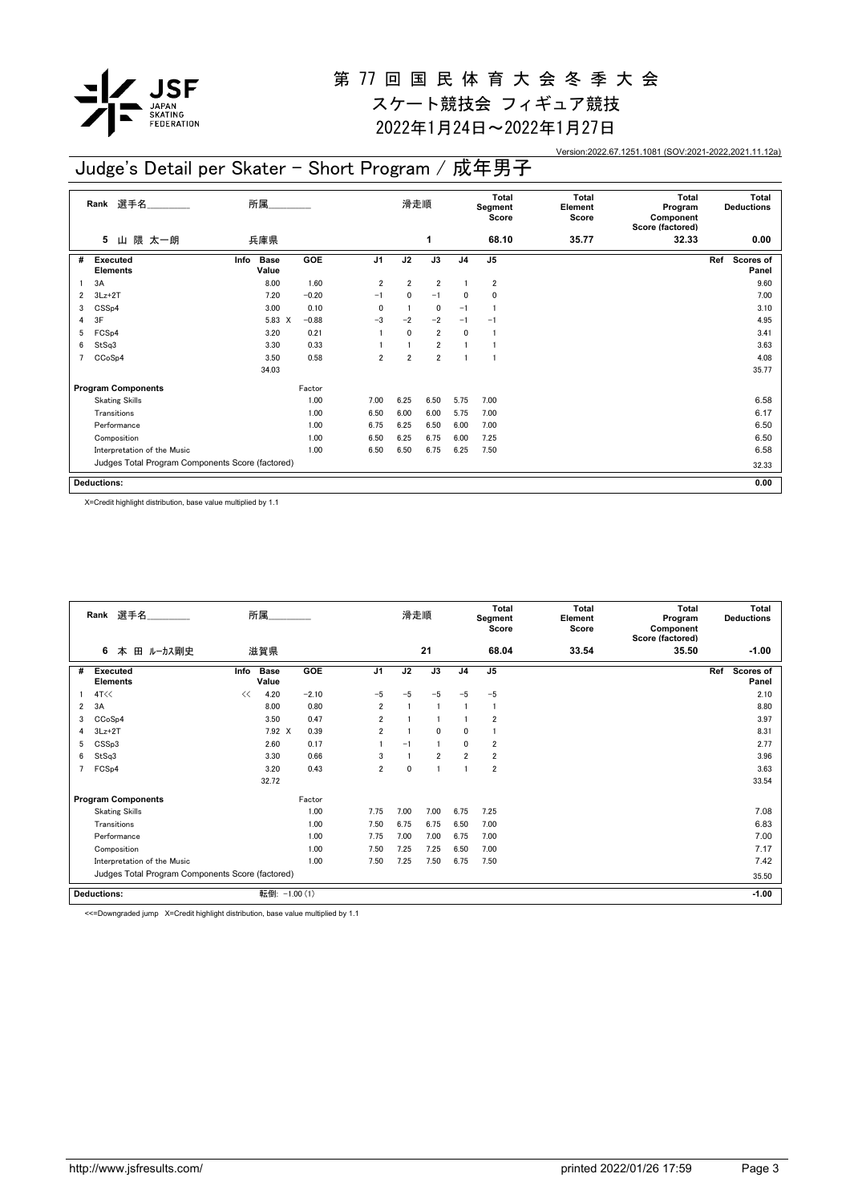

スケート競技会 フィギュア競技 2022年1月24日~2022年1月27日

Version:2022.67.1251.1081 (SOV:2021-2022,2021.11.12a)

## Judge's Detail per Skater - Short Program / 成年男子

|                | 選手名_______<br>Rank                               | 所属                           |         |                | 滑走順            |                |                | Total<br>Segment<br>Score | <b>Total</b><br>Element<br>Score | <b>Total</b><br>Program<br>Component<br>Score (factored) | Total<br><b>Deductions</b> |
|----------------|--------------------------------------------------|------------------------------|---------|----------------|----------------|----------------|----------------|---------------------------|----------------------------------|----------------------------------------------------------|----------------------------|
|                | 隈 太一朗<br>5<br>Ш                                  | 兵庫県                          |         |                |                | 1              |                | 68.10                     | 35.77                            | 32.33                                                    | 0.00                       |
| #              | <b>Executed</b><br><b>Elements</b>               | <b>Base</b><br>Info<br>Value | GOE     | J <sub>1</sub> | J2             | J3             | J <sub>4</sub> | J <sub>5</sub>            |                                  |                                                          | Ref<br>Scores of<br>Panel  |
|                | 3A                                               | 8.00                         | 1.60    | $\overline{2}$ | $\overline{2}$ | $\overline{2}$ |                | $\overline{\mathbf{2}}$   |                                  |                                                          | 9.60                       |
| 2              | $3Lz+2T$                                         | 7.20                         | $-0.20$ | $-1$           | 0              | $-1$           | 0              | 0                         |                                  |                                                          | 7.00                       |
| 3              | CSS <sub>p4</sub>                                | 3.00                         | 0.10    | 0              |                | $\mathbf 0$    | $-1$           | -1                        |                                  |                                                          | 3.10                       |
| 4              | 3F                                               | 5.83 X                       | $-0.88$ | $-3$           | $-2$           | $-2$           | $-1$           | $-1$                      |                                  |                                                          | 4.95                       |
| 5              | FCS <sub>p4</sub>                                | 3.20                         | 0.21    |                | $\mathbf{0}$   | $\overline{2}$ | 0              | J.                        |                                  |                                                          | 3.41                       |
| 6              | StSq3                                            | 3.30                         | 0.33    |                |                | $\overline{2}$ |                |                           |                                  |                                                          | 3.63                       |
| $\overline{7}$ | CCoSp4                                           | 3.50                         | 0.58    | $\overline{2}$ | $\overline{2}$ | $\overline{2}$ |                |                           |                                  |                                                          | 4.08                       |
|                |                                                  | 34.03                        |         |                |                |                |                |                           |                                  |                                                          | 35.77                      |
|                | <b>Program Components</b>                        |                              | Factor  |                |                |                |                |                           |                                  |                                                          |                            |
|                | <b>Skating Skills</b>                            |                              | 1.00    | 7.00           | 6.25           | 6.50           | 5.75           | 7.00                      |                                  |                                                          | 6.58                       |
|                | Transitions                                      |                              | 1.00    | 6.50           | 6.00           | 6.00           | 5.75           | 7.00                      |                                  |                                                          | 6.17                       |
|                | Performance                                      |                              | 1.00    | 6.75           | 6.25           | 6.50           | 6.00           | 7.00                      |                                  |                                                          | 6.50                       |
|                | Composition                                      |                              | 1.00    | 6.50           | 6.25           | 6.75           | 6.00           | 7.25                      |                                  |                                                          | 6.50                       |
|                | Interpretation of the Music                      |                              | 1.00    | 6.50           | 6.50           | 6.75           | 6.25           | 7.50                      |                                  |                                                          | 6.58                       |
|                | Judges Total Program Components Score (factored) |                              |         |                |                |                |                |                           |                                  |                                                          | 32.33                      |
|                | <b>Deductions:</b>                               |                              |         |                |                |                |                |                           |                                  |                                                          | 0.00                       |

X=Credit highlight distribution, base value multiplied by 1.1

|                | Rank 選手名                                         |      | 所属                   |            |                | 滑走順  |                |                | <b>Total</b><br>Segment<br>Score | Total<br>Element<br>Score | <b>Total</b><br>Program<br>Component<br>Score (factored) | Total<br><b>Deductions</b> |
|----------------|--------------------------------------------------|------|----------------------|------------|----------------|------|----------------|----------------|----------------------------------|---------------------------|----------------------------------------------------------|----------------------------|
|                | 6<br>田 ルーカス剛史<br>本                               |      | 滋賀県                  |            |                |      | 21             |                | 68.04                            | 33.54                     | 35.50                                                    | $-1.00$                    |
| #              | <b>Executed</b><br><b>Elements</b>               | Info | <b>Base</b><br>Value | <b>GOE</b> | J1             | J2   | J3             | J <sub>4</sub> | J <sub>5</sub>                   |                           |                                                          | Ref<br>Scores of<br>Panel  |
|                | 4T<<                                             | <<   | 4.20                 | $-2.10$    | $-5$           | $-5$ | $-5$           | $-5$           | $-5$                             |                           |                                                          | 2.10                       |
| $\overline{2}$ | 3A                                               |      | 8.00                 | 0.80       | $\overline{2}$ |      |                |                |                                  |                           |                                                          | 8.80                       |
| 3              | CCoSp4                                           |      | 3.50                 | 0.47       | 2              |      |                |                | $\overline{2}$                   |                           |                                                          | 3.97                       |
| 4              | $3Lz + 2T$                                       |      | 7.92 X               | 0.39       | $\overline{2}$ |      | $\mathbf{0}$   | $\mathbf{0}$   |                                  |                           |                                                          | 8.31                       |
| 5              | CSSp3                                            |      | 2.60                 | 0.17       |                | $-1$ |                | 0              | $\overline{2}$                   |                           |                                                          | 2.77                       |
| 6              | StSq3                                            |      | 3.30                 | 0.66       | 3              |      | $\overline{2}$ | $\overline{2}$ | $\overline{2}$                   |                           |                                                          | 3.96                       |
| 7              | FCS <sub>p4</sub>                                |      | 3.20                 | 0.43       | $\overline{2}$ | 0    |                |                | $\overline{2}$                   |                           |                                                          | 3.63                       |
|                |                                                  |      | 32.72                |            |                |      |                |                |                                  |                           |                                                          | 33.54                      |
|                | <b>Program Components</b>                        |      |                      | Factor     |                |      |                |                |                                  |                           |                                                          |                            |
|                | <b>Skating Skills</b>                            |      |                      | 1.00       | 7.75           | 7.00 | 7.00           | 6.75           | 7.25                             |                           |                                                          | 7.08                       |
|                | Transitions                                      |      |                      | 1.00       | 7.50           | 6.75 | 6.75           | 6.50           | 7.00                             |                           |                                                          | 6.83                       |
|                | Performance                                      |      |                      | 1.00       | 7.75           | 7.00 | 7.00           | 6.75           | 7.00                             |                           |                                                          | 7.00                       |
|                | Composition                                      |      |                      | 1.00       | 7.50           | 7.25 | 7.25           | 6.50           | 7.00                             |                           |                                                          | 7.17                       |
|                | Interpretation of the Music                      |      |                      | 1.00       | 7.50           | 7.25 | 7.50           | 6.75           | 7.50                             |                           |                                                          | 7.42                       |
|                | Judges Total Program Components Score (factored) |      |                      |            |                |      |                |                |                                  |                           |                                                          | 35.50                      |
|                | <b>Deductions:</b>                               |      | 転倒: -1.00 (1)        |            |                |      |                |                |                                  |                           |                                                          | $-1.00$                    |

<<=Downgraded jump X=Credit highlight distribution, base value multiplied by 1.1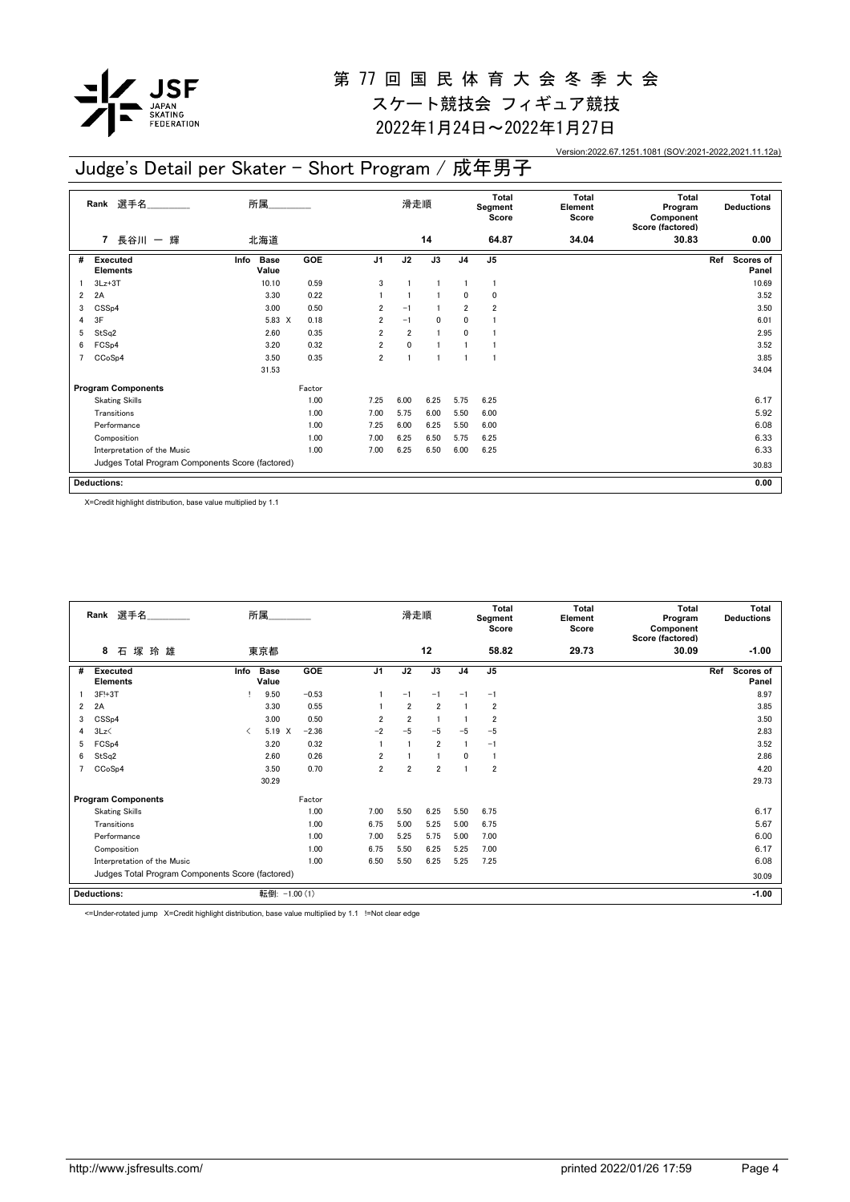

スケート競技会 フィギュア競技 2022年1月24日~2022年1月27日

Version:2022.67.1251.1081 (SOV:2021-2022,2021.11.12a)

### Judge's Detail per Skater - Short Program / 成年男子

|                | Rank 選手名<br>所属<br>長谷川 一 輝<br>北海道<br>$\overline{7}$ |                              |        |                | 滑走順            |                |                | Total<br>Segment<br>Score | <b>Total</b><br>Element<br>Score | <b>Total</b><br>Program<br>Component<br>Score (factored) | <b>Total</b><br><b>Deductions</b> |
|----------------|----------------------------------------------------|------------------------------|--------|----------------|----------------|----------------|----------------|---------------------------|----------------------------------|----------------------------------------------------------|-----------------------------------|
|                |                                                    |                              |        |                |                | 14             |                | 64.87                     | 34.04                            | 30.83                                                    | 0.00                              |
| #              | Executed<br><b>Elements</b>                        | Info<br><b>Base</b><br>Value | GOE    | J <sub>1</sub> | J2             | J3             | J <sub>4</sub> | J <sub>5</sub>            |                                  |                                                          | Ref<br>Scores of<br>Panel         |
|                | $3Lz + 3T$                                         | 10.10                        | 0.59   | 3              |                |                |                | 1                         |                                  |                                                          | 10.69                             |
| $\overline{2}$ | 2A                                                 | 3.30                         | 0.22   |                |                |                | $\mathbf{0}$   | 0                         |                                  |                                                          | 3.52                              |
| 3              | CSS <sub>p4</sub>                                  | 3.00                         | 0.50   | $\overline{2}$ | $-1$           |                | $\overline{2}$ | $\overline{2}$            |                                  |                                                          | 3.50                              |
| 4              | 3F                                                 | 5.83 X                       | 0.18   | $\overline{2}$ | $-1$           | 0              | 0              |                           |                                  |                                                          | 6.01                              |
| 5              | StSq2                                              | 2.60                         | 0.35   | $\overline{2}$ | $\overline{2}$ | $\overline{1}$ | $\mathbf{0}$   |                           |                                  |                                                          | 2.95                              |
| 6              | FCS <sub>p4</sub>                                  | 3.20                         | 0.32   | 2              | $\mathbf 0$    |                |                |                           |                                  |                                                          | 3.52                              |
| $\overline{7}$ | CCoSp4                                             | 3.50                         | 0.35   | $\overline{2}$ | $\overline{1}$ |                |                |                           |                                  |                                                          | 3.85                              |
|                |                                                    | 31.53                        |        |                |                |                |                |                           |                                  |                                                          | 34.04                             |
|                | <b>Program Components</b>                          |                              | Factor |                |                |                |                |                           |                                  |                                                          |                                   |
|                | <b>Skating Skills</b>                              |                              | 1.00   | 7.25           | 6.00           | 6.25           | 5.75           | 6.25                      |                                  |                                                          | 6.17                              |
|                | Transitions                                        |                              | 1.00   | 7.00           | 5.75           | 6.00           | 5.50           | 6.00                      |                                  |                                                          | 5.92                              |
|                | Performance                                        |                              | 1.00   | 7.25           | 6.00           | 6.25           | 5.50           | 6.00                      |                                  |                                                          | 6.08                              |
|                | Composition                                        |                              | 1.00   | 7.00           | 6.25           | 6.50           | 5.75           | 6.25                      |                                  |                                                          | 6.33                              |
|                | Interpretation of the Music                        |                              | 1.00   | 7.00           | 6.25           | 6.50           | 6.00           | 6.25                      |                                  |                                                          | 6.33                              |
|                | Judges Total Program Components Score (factored)   |                              |        |                |                |                |                |                           |                                  |                                                          | 30.83                             |
|                | <b>Deductions:</b>                                 |                              |        |                |                |                |                |                           |                                  |                                                          | 0.00                              |

X=Credit highlight distribution, base value multiplied by 1.1

|   | Rank 選手名                                         |      | 所属                   |         |                | 滑走順            |                |                | Total<br>Segment<br>Score | Total<br>Element<br>Score | <b>Total</b><br>Program<br>Component<br>Score (factored) |     | Total<br><b>Deductions</b> |
|---|--------------------------------------------------|------|----------------------|---------|----------------|----------------|----------------|----------------|---------------------------|---------------------------|----------------------------------------------------------|-----|----------------------------|
|   | 8<br>石塚玲雄                                        |      | 東京都                  |         |                |                | 12             |                | 58.82                     | 29.73                     | 30.09                                                    |     | $-1.00$                    |
| # | <b>Executed</b><br><b>Elements</b>               | Info | <b>Base</b><br>Value | GOE     | J <sub>1</sub> | J2             | J3             | J <sub>4</sub> | J <sub>5</sub>            |                           |                                                          | Ref | <b>Scores of</b><br>Panel  |
|   | 3F!+3T                                           |      | 9.50                 | $-0.53$ |                | $-1$           | $-1$           | $-1$           | $-1$                      |                           |                                                          |     | 8.97                       |
| 2 | 2A                                               |      | 3.30                 | 0.55    |                | $\overline{2}$ | $\overline{2}$ |                | $\overline{2}$            |                           |                                                          |     | 3.85                       |
| 3 | CSS <sub>p4</sub>                                |      | 3.00                 | 0.50    | $\overline{2}$ | $\overline{2}$ |                |                | $\overline{2}$            |                           |                                                          |     | 3.50                       |
| 4 | 3Lz                                              | ≺    | 5.19<br>$\times$     | $-2.36$ | $-2$           | $-5$           | $-5$           | $-5$           | $-5$                      |                           |                                                          |     | 2.83                       |
| 5 | FCS <sub>p4</sub>                                |      | 3.20                 | 0.32    |                |                | $\overline{2}$ |                | $-1$                      |                           |                                                          |     | 3.52                       |
| 6 | StSq2                                            |      | 2.60                 | 0.26    | $\overline{2}$ |                |                | $\mathbf{0}$   |                           |                           |                                                          |     | 2.86                       |
|   | CCoSp4                                           |      | 3.50                 | 0.70    | $\overline{2}$ | $\overline{2}$ | $\overline{2}$ |                | $\overline{2}$            |                           |                                                          |     | 4.20                       |
|   |                                                  |      | 30.29                |         |                |                |                |                |                           |                           |                                                          |     | 29.73                      |
|   | <b>Program Components</b>                        |      |                      | Factor  |                |                |                |                |                           |                           |                                                          |     |                            |
|   | <b>Skating Skills</b>                            |      |                      | 1.00    | 7.00           | 5.50           | 6.25           | 5.50           | 6.75                      |                           |                                                          |     | 6.17                       |
|   | Transitions                                      |      |                      | 1.00    | 6.75           | 5.00           | 5.25           | 5.00           | 6.75                      |                           |                                                          |     | 5.67                       |
|   | Performance                                      |      |                      | 1.00    | 7.00           | 5.25           | 5.75           | 5.00           | 7.00                      |                           |                                                          |     | 6.00                       |
|   | Composition                                      |      |                      | 1.00    | 6.75           | 5.50           | 6.25           | 5.25           | 7.00                      |                           |                                                          |     | 6.17                       |
|   | Interpretation of the Music                      |      |                      | 1.00    | 6.50           | 5.50           | 6.25           | 5.25           | 7.25                      |                           |                                                          |     | 6.08                       |
|   | Judges Total Program Components Score (factored) |      |                      |         |                |                |                |                |                           |                           |                                                          |     | 30.09                      |
|   | <b>Deductions:</b>                               |      | 転倒: -1.00 (1)        |         |                |                |                |                |                           |                           |                                                          |     | $-1.00$                    |

<=Under-rotated jump X=Credit highlight distribution, base value multiplied by 1.1 !=Not clear edge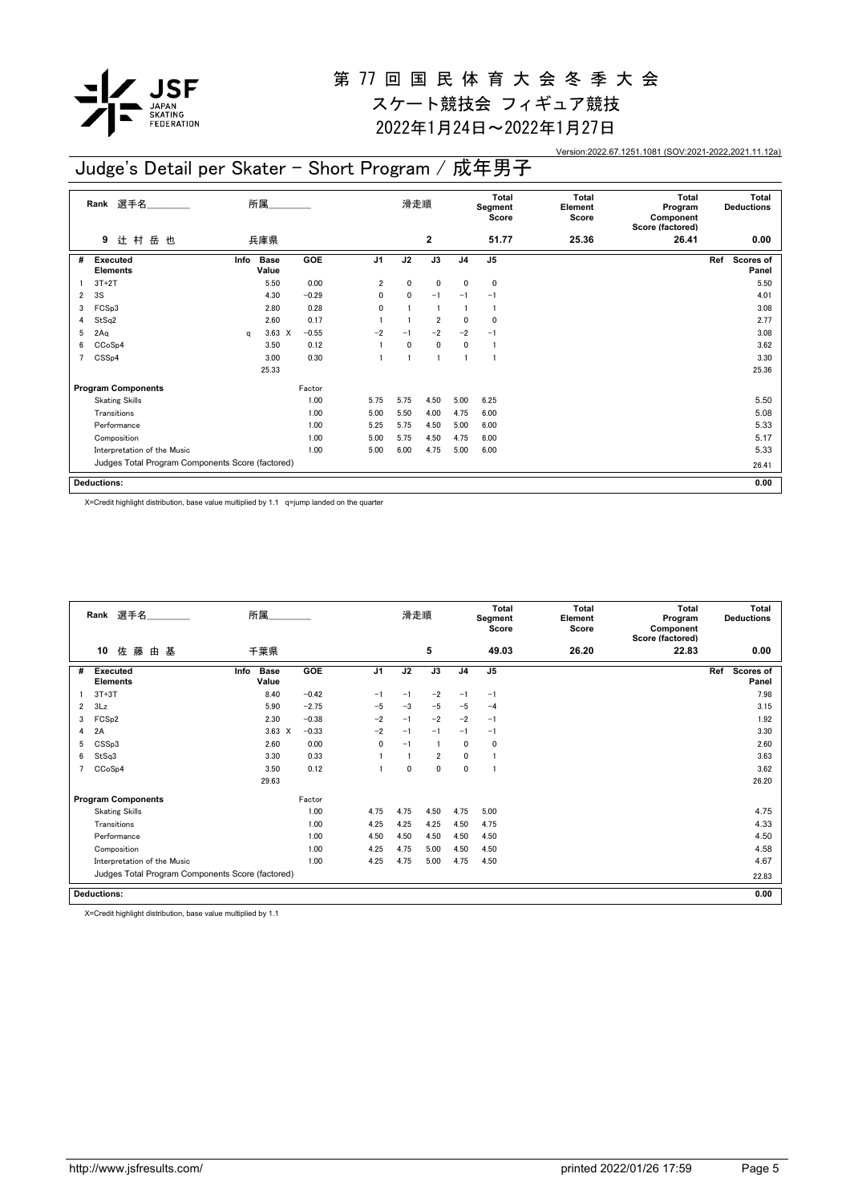

スケート競技会 フィギュア競技 2022年1月24日~2022年1月27日

Version:2022.67.1251.1081 (SOV:2021-2022,2021.11.12a)

#### **Rank** 選手名\_\_\_\_\_\_\_\_\_\_\_\_\_\_ 滑走順 **Total Total** 所属\_\_\_\_\_\_\_\_\_\_\_ Judge's Detail per Skater - Short Program / 成年男子

|   | Rank 選手名                                         |      | 所属                   |            |                | 滑走順          |                |                | Total<br>Segment<br>Score | <b>Total</b><br>Element<br>Score | <b>Total</b><br>Program<br>Component<br>Score (factored) | Total<br><b>Deductions</b> |
|---|--------------------------------------------------|------|----------------------|------------|----------------|--------------|----------------|----------------|---------------------------|----------------------------------|----------------------------------------------------------|----------------------------|
|   | 岳也<br>辻村<br>9                                    |      | 兵庫県                  |            |                |              | $\mathbf{2}$   |                | 51.77                     | 25.36                            | 26.41                                                    | 0.00                       |
| # | <b>Executed</b><br><b>Elements</b>               | Info | <b>Base</b><br>Value | <b>GOE</b> | J <sub>1</sub> | J2           | J3             | J <sub>4</sub> | J5                        |                                  |                                                          | Ref<br>Scores of<br>Panel  |
|   | $3T+2T$                                          |      | 5.50                 | 0.00       | $\overline{2}$ | 0            | $\mathbf 0$    | 0              | 0                         |                                  |                                                          | 5.50                       |
| 2 | 3S                                               |      | 4.30                 | $-0.29$    | 0              | 0            | $-1$           | $-1$           | $-1$                      |                                  |                                                          | 4.01                       |
| 3 | FCSp3                                            |      | 2.80                 | 0.28       | 0              |              |                |                |                           |                                  |                                                          | 3.08                       |
| 4 | StSq2                                            |      | 2.60                 | 0.17       |                |              | $\overline{2}$ | 0              | 0                         |                                  |                                                          | 2.77                       |
| 5 | 2Aq                                              | q    | $3.63 \t X$          | $-0.55$    | $-2$           | $-1$         | $-2$           | $-2$           | $-1$                      |                                  |                                                          | 3.08                       |
| 6 | CCoSp4                                           |      | 3.50                 | 0.12       |                | $\mathbf{0}$ | $\mathbf 0$    | 0              | -1                        |                                  |                                                          | 3.62                       |
|   | CSS <sub>p4</sub>                                |      | 3.00                 | 0.30       |                |              | $\overline{1}$ |                | J.                        |                                  |                                                          | 3.30                       |
|   |                                                  |      | 25.33                |            |                |              |                |                |                           |                                  |                                                          | 25.36                      |
|   | <b>Program Components</b>                        |      |                      | Factor     |                |              |                |                |                           |                                  |                                                          |                            |
|   | <b>Skating Skills</b>                            |      |                      | 1.00       | 5.75           | 5.75         | 4.50           | 5.00           | 6.25                      |                                  |                                                          | 5.50                       |
|   | Transitions                                      |      |                      | 1.00       | 5.00           | 5.50         | 4.00           | 4.75           | 6.00                      |                                  |                                                          | 5.08                       |
|   | Performance                                      |      |                      | 1.00       | 5.25           | 5.75         | 4.50           | 5.00           | 6.00                      |                                  |                                                          | 5.33                       |
|   | Composition                                      |      |                      | 1.00       | 5.00           | 5.75         | 4.50           | 4.75           | 6.00                      |                                  |                                                          | 5.17                       |
|   | Interpretation of the Music                      |      |                      | 1.00       | 5.00           | 6.00         | 4.75           | 5.00           | 6.00                      |                                  |                                                          | 5.33                       |
|   | Judges Total Program Components Score (factored) |      |                      |            |                |              |                |                |                           |                                  |                                                          | 26.41                      |
|   | <b>Deductions:</b>                               |      |                      |            |                |              |                |                |                           |                                  |                                                          | 0.00                       |

X=Credit highlight distribution, base value multiplied by 1.1 q=jump landed on the quarter

|   | Rank 選手名                                         | 所属                           |            |                | 滑走順  |                |                | <b>Total</b><br>Segment<br>Score | <b>Total</b><br>Element<br>Score | <b>Total</b><br>Program<br>Component<br>Score (factored) | <b>Total</b><br><b>Deductions</b> |
|---|--------------------------------------------------|------------------------------|------------|----------------|------|----------------|----------------|----------------------------------|----------------------------------|----------------------------------------------------------|-----------------------------------|
|   | 佐 藤<br>10<br>由 基                                 | 千葉県                          |            |                |      | 5              |                | 49.03                            | 26.20                            | 22.83                                                    | 0.00                              |
| # | <b>Executed</b><br><b>Elements</b>               | Info<br><b>Base</b><br>Value | <b>GOE</b> | J <sub>1</sub> | J2   | J3             | J <sub>4</sub> | J <sub>5</sub>                   |                                  |                                                          | Ref<br><b>Scores of</b><br>Panel  |
|   | $3T+3T$                                          | 8.40                         | $-0.42$    | $-1$           | $-1$ | $-2$           | $-1$           | $-1$                             |                                  |                                                          | 7.98                              |
| 2 | 3Lz                                              | 5.90                         | $-2.75$    | $-5$           | $-3$ | $-5$           | $-5$           | $-4$                             |                                  |                                                          | 3.15                              |
| 3 | FCS <sub>p2</sub>                                | 2.30                         | $-0.38$    | $-2$           | $-1$ | $-2$           | $-2$           | $-1$                             |                                  |                                                          | 1.92                              |
| 4 | 2A                                               | $3.63 \times$                | $-0.33$    | $-2$           | $-1$ | $-1$           | $-1$           | $-1$                             |                                  |                                                          | 3.30                              |
| 5 | CSSp3                                            | 2.60                         | 0.00       | 0              | $-1$ |                | $\mathbf{0}$   | 0                                |                                  |                                                          | 2.60                              |
| 6 | StSq3                                            | 3.30                         | 0.33       |                |      | $\overline{2}$ | 0              |                                  |                                  |                                                          | 3.63                              |
|   | CCoSp4                                           | 3.50                         | 0.12       |                | 0    | $\mathbf 0$    | $\mathbf 0$    |                                  |                                  |                                                          | 3.62                              |
|   |                                                  | 29.63                        |            |                |      |                |                |                                  |                                  |                                                          | 26.20                             |
|   | <b>Program Components</b>                        |                              | Factor     |                |      |                |                |                                  |                                  |                                                          |                                   |
|   | <b>Skating Skills</b>                            |                              | 1.00       | 4.75           | 4.75 | 4.50           | 4.75           | 5.00                             |                                  |                                                          | 4.75                              |
|   | Transitions                                      |                              | 1.00       | 4.25           | 4.25 | 4.25           | 4.50           | 4.75                             |                                  |                                                          | 4.33                              |
|   | Performance                                      |                              | 1.00       | 4.50           | 4.50 | 4.50           | 4.50           | 4.50                             |                                  |                                                          | 4.50                              |
|   | Composition                                      |                              | 1.00       | 4.25           | 4.75 | 5.00           | 4.50           | 4.50                             |                                  |                                                          | 4.58                              |
|   | Interpretation of the Music                      |                              | 1.00       | 4.25           | 4.75 | 5.00           | 4.75           | 4.50                             |                                  |                                                          | 4.67                              |
|   | Judges Total Program Components Score (factored) |                              |            |                |      |                |                |                                  |                                  |                                                          | 22.83                             |
|   | <b>Deductions:</b>                               |                              |            |                |      |                |                |                                  |                                  |                                                          | 0.00                              |

X=Credit highlight distribution, base value multiplied by 1.1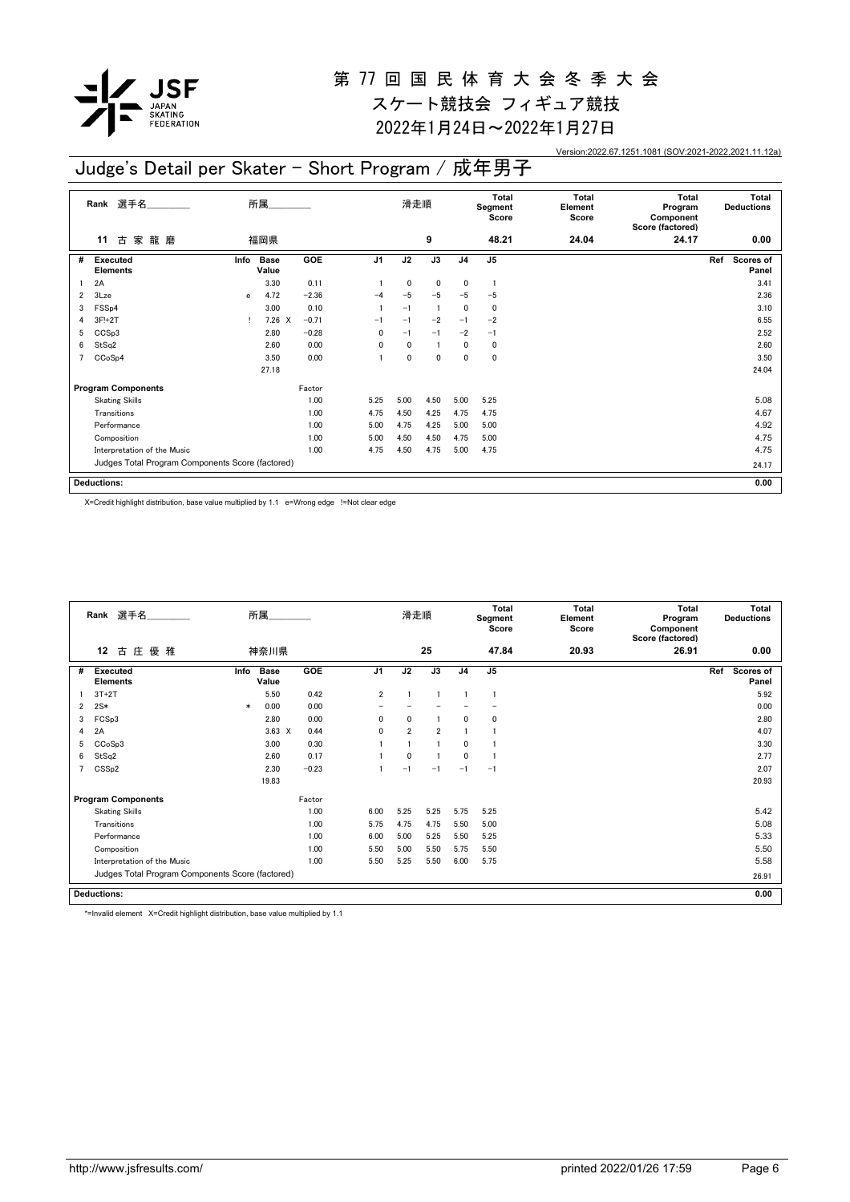

スケート競技会 フィギュア競技 2022年1月24日~2022年1月27日

Version:2022.67.1251.1081 (SOV:2021-2022,2021.11.12a)

## Judge's Detail per Skater - Short Program / 成年男子

|                | 選手名<br>所属<br>Rank<br>龍磨<br>家<br>福岡県<br>古<br>11   |              |                      |            | 滑走順            |              |             | Total<br>Segment<br>Score | Total<br>Element<br>Score | Total<br>Program<br>Component<br>Score (factored) | Total<br><b>Deductions</b> |                           |
|----------------|--------------------------------------------------|--------------|----------------------|------------|----------------|--------------|-------------|---------------------------|---------------------------|---------------------------------------------------|----------------------------|---------------------------|
|                |                                                  |              |                      |            |                |              | 9           |                           | 48.21                     | 24.04                                             | 24.17                      | 0.00                      |
| #              | <b>Executed</b><br><b>Elements</b>               | Info         | <b>Base</b><br>Value | <b>GOE</b> | J <sub>1</sub> | J2           | J3          | J <sub>4</sub>            | J <sub>5</sub>            |                                                   |                            | Scores of<br>Ref<br>Panel |
|                | 2A                                               |              | 3.30                 | 0.11       |                | 0            | $\mathbf 0$ | 0                         | -1                        |                                                   |                            | 3.41                      |
| 2              | 3Lze                                             | $\mathbf{e}$ | 4.72                 | $-2.36$    | $-4$           | $-5$         | $-5$        | $-5$                      | $-5$                      |                                                   |                            | 2.36                      |
| 3              | FSS <sub>p4</sub>                                |              | 3.00                 | 0.10       |                | $-1$         | -1          | 0                         | 0                         |                                                   |                            | 3.10                      |
| 4              | 3F!+2T                                           |              | $7.26 \t X$          | $-0.71$    | $-1$           | $-1$         | $-2$        | $-1$                      | $-2$                      |                                                   |                            | 6.55                      |
| 5              | CCS <sub>p3</sub>                                |              | 2.80                 | $-0.28$    | $\mathbf{0}$   | $-1$         | $-1$        | $-2$                      | $-1$                      |                                                   |                            | 2.52                      |
| 6              | StSq2                                            |              | 2.60                 | 0.00       | $\mathbf{0}$   | 0            |             | 0                         | 0                         |                                                   |                            | 2.60                      |
| $\overline{7}$ | CCoSp4                                           |              | 3.50                 | 0.00       |                | $\mathbf{0}$ | $\mathbf 0$ | $\mathbf{0}$              | 0                         |                                                   |                            | 3.50                      |
|                |                                                  |              | 27.18                |            |                |              |             |                           |                           |                                                   |                            | 24.04                     |
|                | <b>Program Components</b>                        |              |                      | Factor     |                |              |             |                           |                           |                                                   |                            |                           |
|                | <b>Skating Skills</b>                            |              |                      | 1.00       | 5.25           | 5.00         | 4.50        | 5.00                      | 5.25                      |                                                   |                            | 5.08                      |
|                | Transitions                                      |              |                      | 1.00       | 4.75           | 4.50         | 4.25        | 4.75                      | 4.75                      |                                                   |                            | 4.67                      |
|                | Performance                                      |              |                      | 1.00       | 5.00           | 4.75         | 4.25        | 5.00                      | 5.00                      |                                                   |                            | 4.92                      |
|                | Composition                                      |              |                      | 1.00       | 5.00           | 4.50         | 4.50        | 4.75                      | 5.00                      |                                                   |                            | 4.75                      |
|                | Interpretation of the Music                      |              |                      | 1.00       | 4.75           | 4.50         | 4.75        | 5.00                      | 4.75                      |                                                   |                            | 4.75                      |
|                | Judges Total Program Components Score (factored) |              |                      |            |                |              |             |                           |                           |                                                   |                            | 24.17                     |
|                | <b>Deductions:</b>                               |              |                      |            |                |              |             |                           |                           |                                                   |                            | 0.00                      |

X=Credit highlight distribution, base value multiplied by 1.1 e=Wrong edge !=Not clear edge

|                | Rank 選手名                                         |        | 所属                   |            |                | 滑走順            |                |                | <b>Total</b><br>Segment<br>Score | Total<br>Element<br>Score | <b>Total</b><br>Program<br>Component<br>Score (factored) | Total<br><b>Deductions</b>       |
|----------------|--------------------------------------------------|--------|----------------------|------------|----------------|----------------|----------------|----------------|----------------------------------|---------------------------|----------------------------------------------------------|----------------------------------|
|                | 古庄<br>優 雅<br>12                                  |        | 神奈川県                 |            |                |                | 25             |                | 47.84                            | 20.93                     | 26.91                                                    | 0.00                             |
| #              | <b>Executed</b><br><b>Elements</b>               | Info   | <b>Base</b><br>Value | <b>GOE</b> | J <sub>1</sub> | J2             | J3             | J <sub>4</sub> | J <sub>5</sub>                   |                           |                                                          | Ref<br><b>Scores of</b><br>Panel |
|                | $3T+2T$                                          |        | 5.50                 | 0.42       | $\overline{2}$ |                |                |                |                                  |                           |                                                          | 5.92                             |
| $\overline{2}$ | $2S*$                                            | $\ast$ | 0.00                 | 0.00       |                |                |                |                |                                  |                           |                                                          | 0.00                             |
| 3              | FCSp3                                            |        | 2.80                 | 0.00       | 0              | 0              |                | 0              | 0                                |                           |                                                          | 2.80                             |
| 4              | 2A                                               |        | $3.63 \times$        | 0.44       | 0              | $\overline{2}$ | $\overline{2}$ |                |                                  |                           |                                                          | 4.07                             |
| 5              | CCoSp3                                           |        | 3.00                 | 0.30       |                |                |                | 0              |                                  |                           |                                                          | 3.30                             |
| 6              | StSq2                                            |        | 2.60                 | 0.17       |                | $\mathbf{0}$   |                | 0              |                                  |                           |                                                          | 2.77                             |
| 7              | CSS <sub>p2</sub>                                |        | 2.30                 | $-0.23$    |                | $-1$           | $-1$           | $-1$           | $-1$                             |                           |                                                          | 2.07                             |
|                |                                                  |        | 19.83                |            |                |                |                |                |                                  |                           |                                                          | 20.93                            |
|                | <b>Program Components</b>                        |        |                      | Factor     |                |                |                |                |                                  |                           |                                                          |                                  |
|                | <b>Skating Skills</b>                            |        |                      | 1.00       | 6.00           | 5.25           | 5.25           | 5.75           | 5.25                             |                           |                                                          | 5.42                             |
|                | Transitions                                      |        |                      | 1.00       | 5.75           | 4.75           | 4.75           | 5.50           | 5.00                             |                           |                                                          | 5.08                             |
|                | Performance                                      |        |                      | 1.00       | 6.00           | 5.00           | 5.25           | 5.50           | 5.25                             |                           |                                                          | 5.33                             |
|                | Composition                                      |        |                      | 1.00       | 5.50           | 5.00           | 5.50           | 5.75           | 5.50                             |                           |                                                          | 5.50                             |
|                | Interpretation of the Music                      |        |                      | 1.00       | 5.50           | 5.25           | 5.50           | 6.00           | 5.75                             |                           |                                                          | 5.58                             |
|                | Judges Total Program Components Score (factored) |        |                      |            |                |                |                |                |                                  |                           |                                                          | 26.91                            |
|                | <b>Deductions:</b>                               |        |                      |            |                |                |                |                |                                  |                           |                                                          | 0.00                             |

\*=Invalid element X=Credit highlight distribution, base value multiplied by 1.1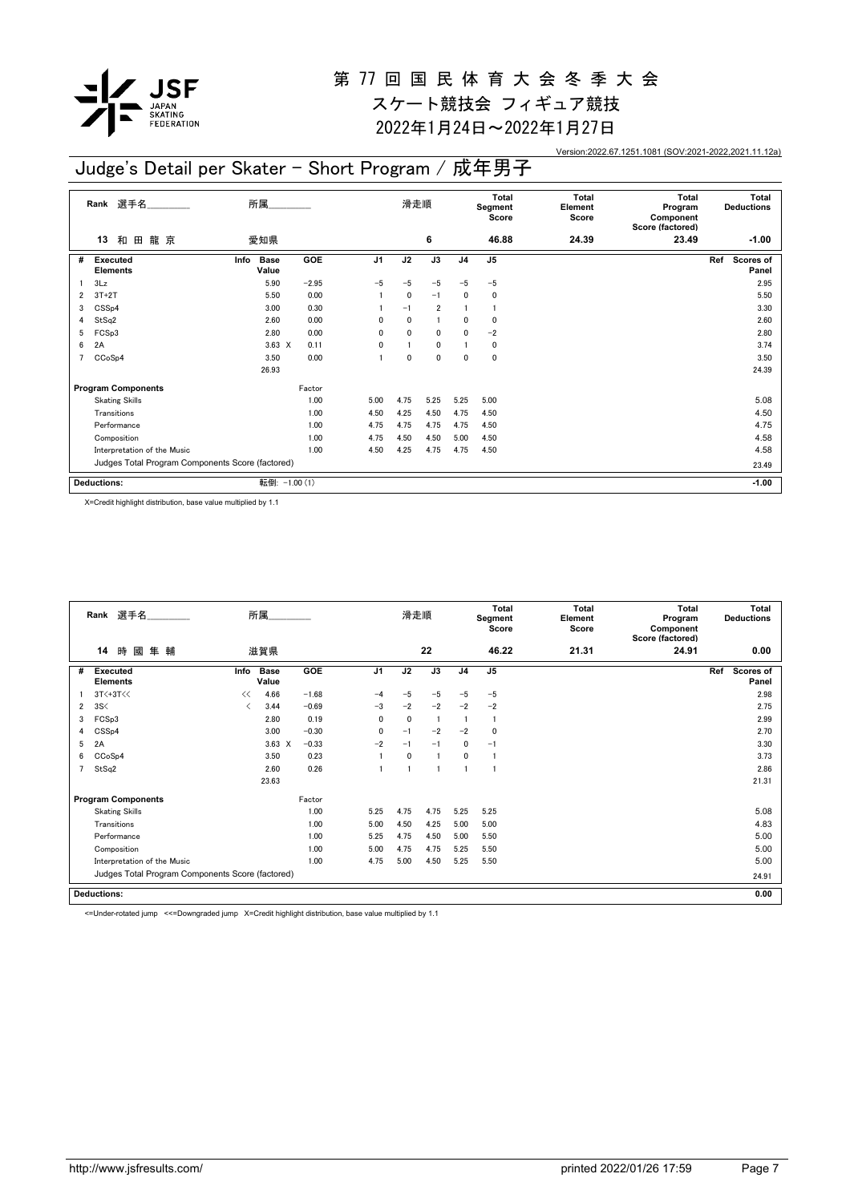

スケート競技会 フィギュア競技 2022年1月24日~2022年1月27日

Version:2022.67.1251.1081 (SOV:2021-2022,2021.11.12a)

### Judge's Detail per Skater - Short Program / 成年男子

|                | 選手名<br>Rank                                      | 所属                           |         |                | 滑走順          |                |                | <b>Total</b><br>Segment<br>Score | <b>Total</b><br>Element<br>Score | <b>Total</b><br>Program<br>Component<br>Score (factored) | Total<br><b>Deductions</b> |
|----------------|--------------------------------------------------|------------------------------|---------|----------------|--------------|----------------|----------------|----------------------------------|----------------------------------|----------------------------------------------------------|----------------------------|
|                | 龍 京<br>和<br>13<br>田                              | 愛知県                          |         |                |              | 6              |                | 46.88                            | 24.39                            | 23.49                                                    | $-1.00$                    |
| #              | Executed<br><b>Elements</b>                      | Info<br><b>Base</b><br>Value | GOE     | J <sub>1</sub> | J2           | J3             | J <sub>4</sub> | J <sub>5</sub>                   |                                  |                                                          | Ref<br>Scores of<br>Panel  |
|                | 3Lz                                              | 5.90                         | $-2.95$ | $-5$           | $-5$         | $-5$           | $-5$           | $-5$                             |                                  |                                                          | 2.95                       |
| 2              | $3T+2T$                                          | 5.50                         | 0.00    |                | 0            | $-1$           | $\mathbf{0}$   | 0                                |                                  |                                                          | 5.50                       |
| 3              | CSS <sub>p4</sub>                                | 3.00                         | 0.30    |                | $-1$         | $\overline{2}$ |                |                                  |                                  |                                                          | 3.30                       |
| 4              | StSq2                                            | 2.60                         | 0.00    | 0              | $\mathbf{0}$ |                | $\mathbf{0}$   | 0                                |                                  |                                                          | 2.60                       |
| 5              | FCSp3                                            | 2.80                         | 0.00    | 0              | $\mathbf{0}$ | $\mathbf{0}$   | $\mathbf{0}$   | $-2$                             |                                  |                                                          | 2.80                       |
| 6              | 2A                                               | $3.63 \times$                | 0.11    | 0              |              | $\mathbf{0}$   |                | 0                                |                                  |                                                          | 3.74                       |
| $\overline{7}$ | CCoSp4                                           | 3.50                         | 0.00    |                | $\mathbf{0}$ | 0              | $\mathbf{0}$   | 0                                |                                  |                                                          | 3.50                       |
|                |                                                  | 26.93                        |         |                |              |                |                |                                  |                                  |                                                          | 24.39                      |
|                | <b>Program Components</b>                        |                              | Factor  |                |              |                |                |                                  |                                  |                                                          |                            |
|                | <b>Skating Skills</b>                            |                              | 1.00    | 5.00           | 4.75         | 5.25           | 5.25           | 5.00                             |                                  |                                                          | 5.08                       |
|                | Transitions                                      |                              | 1.00    | 4.50           | 4.25         | 4.50           | 4.75           | 4.50                             |                                  |                                                          | 4.50                       |
|                | Performance                                      |                              | 1.00    | 4.75           | 4.75         | 4.75           | 4.75           | 4.50                             |                                  |                                                          | 4.75                       |
|                | Composition                                      |                              | 1.00    | 4.75           | 4.50         | 4.50           | 5.00           | 4.50                             |                                  |                                                          | 4.58                       |
|                | Interpretation of the Music                      |                              | 1.00    | 4.50           | 4.25         | 4.75           | 4.75           | 4.50                             |                                  |                                                          | 4.58                       |
|                | Judges Total Program Components Score (factored) |                              |         |                |              |                |                |                                  |                                  |                                                          | 23.49                      |
|                | <b>Deductions:</b>                               | 転倒: -1.00 (1)                |         |                |              |                |                |                                  |                                  |                                                          | $-1.00$                    |

X=Credit highlight distribution, base value multiplied by 1.1

|   | Rank 選手名                                         |      | 所属                   |         |                | 滑走順          |                |                | <b>Total</b><br>Segment<br>Score | Total<br>Element<br>Score | Total<br>Program<br>Component<br>Score (factored) | Total<br><b>Deductions</b>       |
|---|--------------------------------------------------|------|----------------------|---------|----------------|--------------|----------------|----------------|----------------------------------|---------------------------|---------------------------------------------------|----------------------------------|
|   | 時<br>或<br>14<br>隼 輔                              |      | 滋賀県                  |         |                |              | 22             |                | 46.22                            | 21.31                     | 24.91                                             | 0.00                             |
| # | <b>Executed</b><br><b>Elements</b>               | Info | <b>Base</b><br>Value | GOE     | J <sub>1</sub> | J2           | J3             | J <sub>4</sub> | J <sub>5</sub>                   |                           |                                                   | Ref<br><b>Scores of</b><br>Panel |
|   | $3T<+3T<<$                                       | <<   | 4.66                 | $-1.68$ | $-4$           | $-5$         | $-5$           | $-5$           | $-5$                             |                           |                                                   | 2.98                             |
| 2 | 3S<                                              | ≺    | 3.44                 | $-0.69$ | $-3$           | $-2$         | $-2$           | $-2$           | $-2$                             |                           |                                                   | 2.75                             |
| 3 | FCSp3                                            |      | 2.80                 | 0.19    | $\mathbf{0}$   | $\mathbf{0}$ | $\overline{1}$ |                |                                  |                           |                                                   | 2.99                             |
| 4 | CSS <sub>p4</sub>                                |      | 3.00                 | $-0.30$ | $\mathbf{0}$   | $-1$         | $-2$           | $-2$           | $\Omega$                         |                           |                                                   | 2.70                             |
| 5 | 2A                                               |      | $3.63 \times$        | $-0.33$ | $-2$           | $-1$         | $-1$           | 0              | $-1$                             |                           |                                                   | 3.30                             |
| 6 | CCoSp4                                           |      | 3.50                 | 0.23    |                | $\mathbf 0$  |                | $\mathbf{0}$   |                                  |                           |                                                   | 3.73                             |
|   | StSq2                                            |      | 2.60                 | 0.26    |                |              |                |                |                                  |                           |                                                   | 2.86                             |
|   |                                                  |      | 23.63                |         |                |              |                |                |                                  |                           |                                                   | 21.31                            |
|   | <b>Program Components</b>                        |      |                      | Factor  |                |              |                |                |                                  |                           |                                                   |                                  |
|   | <b>Skating Skills</b>                            |      |                      | 1.00    | 5.25           | 4.75         | 4.75           | 5.25           | 5.25                             |                           |                                                   | 5.08                             |
|   | Transitions                                      |      |                      | 1.00    | 5.00           | 4.50         | 4.25           | 5.00           | 5.00                             |                           |                                                   | 4.83                             |
|   | Performance                                      |      |                      | 1.00    | 5.25           | 4.75         | 4.50           | 5.00           | 5.50                             |                           |                                                   | 5.00                             |
|   | Composition                                      |      |                      | 1.00    | 5.00           | 4.75         | 4.75           | 5.25           | 5.50                             |                           |                                                   | 5.00                             |
|   | Interpretation of the Music                      |      |                      | 1.00    | 4.75           | 5.00         | 4.50           | 5.25           | 5.50                             |                           |                                                   | 5.00                             |
|   | Judges Total Program Components Score (factored) |      |                      |         |                |              |                |                |                                  |                           |                                                   | 24.91                            |
|   | <b>Deductions:</b>                               |      |                      |         |                |              |                |                |                                  |                           |                                                   | 0.00                             |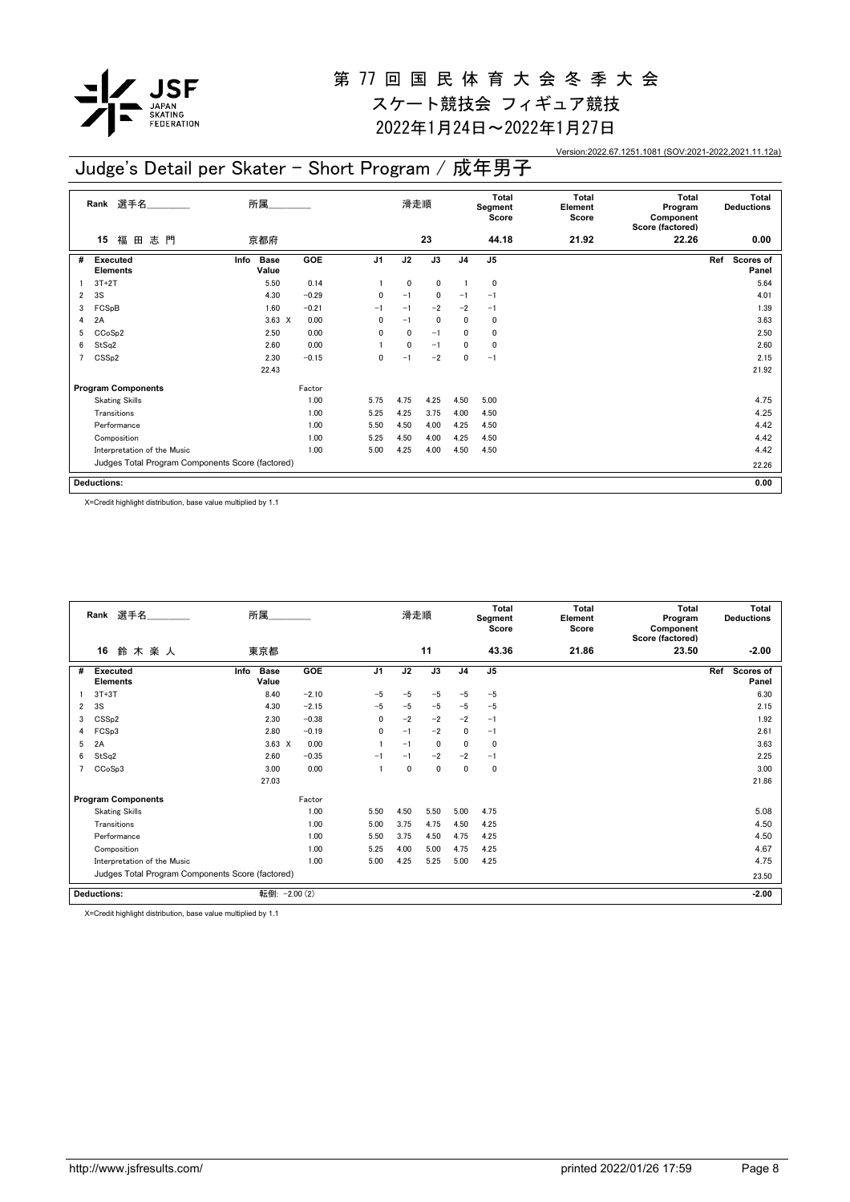

スケート競技会 フィギュア競技 2022年1月24日~2022年1月27日

Version:2022.67.1251.1081 (SOV:2021-2022,2021.11.12a)

### Judge's Detail per Skater - Short Program / 成年男子

|                | Rank 選手名                                         | 所属                           |         |                | 滑走順  |      |                | Total<br>Segment<br>Score | <b>Total</b><br>Element<br>Score | <b>Total</b><br>Program<br>Component<br>Score (factored) | Total<br><b>Deductions</b> |
|----------------|--------------------------------------------------|------------------------------|---------|----------------|------|------|----------------|---------------------------|----------------------------------|----------------------------------------------------------|----------------------------|
|                | 福<br>志門<br>15<br>田                               | 京都府                          |         |                |      | 23   |                | 44.18                     | 21.92                            | 22.26                                                    | 0.00                       |
| #              | Executed<br><b>Elements</b>                      | Info<br><b>Base</b><br>Value | GOE     | J <sub>1</sub> | J2   | J3   | J <sub>4</sub> | J <sub>5</sub>            |                                  |                                                          | Ref<br>Scores of<br>Panel  |
|                | $3T+2T$                                          | 5.50                         | 0.14    |                | 0    | 0    | $\overline{1}$ | 0                         |                                  |                                                          | 5.64                       |
| $\overline{2}$ | 3S                                               | 4.30                         | $-0.29$ | $\mathbf{0}$   | $-1$ | 0    | $-1$           | $-1$                      |                                  |                                                          | 4.01                       |
| 3              | FCSpB                                            | 1.60                         | $-0.21$ | $-1$           | $-1$ | $-2$ | $-2$           | $-1$                      |                                  |                                                          | 1.39                       |
| 4              | 2A                                               | $3.63 \times$                | 0.00    | 0              | $-1$ | 0    | 0              | 0                         |                                  |                                                          | 3.63                       |
| 5              | CCoSp2                                           | 2.50                         | 0.00    | $\mathbf{0}$   | 0    | $-1$ | 0              | 0                         |                                  |                                                          | 2.50                       |
| 6              | StSq2                                            | 2.60                         | 0.00    |                | 0    | $-1$ | 0              | 0                         |                                  |                                                          | 2.60                       |
| $\overline{7}$ | CSS <sub>p2</sub>                                | 2.30                         | $-0.15$ | $\mathbf{0}$   | $-1$ | $-2$ | $\mathbf{0}$   | $-1$                      |                                  |                                                          | 2.15                       |
|                |                                                  | 22.43                        |         |                |      |      |                |                           |                                  |                                                          | 21.92                      |
|                | <b>Program Components</b>                        |                              | Factor  |                |      |      |                |                           |                                  |                                                          |                            |
|                | <b>Skating Skills</b>                            |                              | 1.00    | 5.75           | 4.75 | 4.25 | 4.50           | 5.00                      |                                  |                                                          | 4.75                       |
|                | Transitions                                      |                              | 1.00    | 5.25           | 4.25 | 3.75 | 4.00           | 4.50                      |                                  |                                                          | 4.25                       |
|                | Performance                                      |                              | 1.00    | 5.50           | 4.50 | 4.00 | 4.25           | 4.50                      |                                  |                                                          | 4.42                       |
|                | Composition                                      |                              | 1.00    | 5.25           | 4.50 | 4.00 | 4.25           | 4.50                      |                                  |                                                          | 4.42                       |
|                | Interpretation of the Music                      |                              | 1.00    | 5.00           | 4.25 | 4.00 | 4.50           | 4.50                      |                                  |                                                          | 4.42                       |
|                | Judges Total Program Components Score (factored) |                              |         |                |      |      |                |                           |                                  | 22.26                                                    |                            |
|                | <b>Deductions:</b>                               |                              |         |                |      |      |                |                           |                                  |                                                          | 0.00                       |

X=Credit highlight distribution, base value multiplied by 1.1

|   | Rank 選手名                                         | 所属                           |         |                | 滑走順  |      |              | <b>Total</b><br>Segment<br>Score | <b>Total</b><br>Element<br>Score | <b>Total</b><br>Program<br>Component<br>Score (factored) | <b>Total</b><br><b>Deductions</b> |
|---|--------------------------------------------------|------------------------------|---------|----------------|------|------|--------------|----------------------------------|----------------------------------|----------------------------------------------------------|-----------------------------------|
|   | 鈴木楽人<br>16                                       | 東京都                          |         |                |      | 11   |              | 43.36                            | 21.86                            | 23.50                                                    | $-2.00$                           |
| # | <b>Executed</b><br><b>Elements</b>               | <b>Base</b><br>Info<br>Value | GOE     | J <sub>1</sub> | J2   | J3   | J4           | J <sub>5</sub>                   |                                  |                                                          | Ref<br><b>Scores of</b><br>Panel  |
|   | $3T+3T$                                          | 8.40                         | $-2.10$ | $-5$           | $-5$ | $-5$ | $-5$         | $-5$                             |                                  |                                                          | 6.30                              |
| 2 | 3S                                               | 4.30                         | $-2.15$ | $-5$           | $-5$ | $-5$ | $-5$         | $-5$                             |                                  |                                                          | 2.15                              |
| 3 | CSS <sub>p2</sub>                                | 2.30                         | $-0.38$ | 0              | $-2$ | $-2$ | $-2$         | $-1$                             |                                  |                                                          | 1.92                              |
| 4 | FCSp3                                            | 2.80                         | $-0.19$ | $\mathbf{0}$   | $-1$ | $-2$ | $\mathbf{0}$ | $-1$                             |                                  |                                                          | 2.61                              |
| 5 | 2A                                               | $3.63 \times$                | 0.00    |                | $-1$ | 0    | $\mathbf{0}$ | 0                                |                                  |                                                          | 3.63                              |
| 6 | StSq2                                            | 2.60                         | $-0.35$ | $-1$           | $-1$ | $-2$ | $-2$         | $-1$                             |                                  |                                                          | 2.25                              |
|   | CCoSp3                                           | 3.00                         | 0.00    |                | 0    | 0    | 0            | 0                                |                                  |                                                          | 3.00                              |
|   |                                                  | 27.03                        |         |                |      |      |              |                                  |                                  |                                                          | 21.86                             |
|   | <b>Program Components</b>                        |                              | Factor  |                |      |      |              |                                  |                                  |                                                          |                                   |
|   | <b>Skating Skills</b>                            |                              | 1.00    | 5.50           | 4.50 | 5.50 | 5.00         | 4.75                             |                                  |                                                          | 5.08                              |
|   | Transitions                                      |                              | 1.00    | 5.00           | 3.75 | 4.75 | 4.50         | 4.25                             |                                  |                                                          | 4.50                              |
|   | Performance                                      |                              | 1.00    | 5.50           | 3.75 | 4.50 | 4.75         | 4.25                             |                                  |                                                          | 4.50                              |
|   | Composition                                      |                              | 1.00    | 5.25           | 4.00 | 5.00 | 4.75         | 4.25                             |                                  |                                                          | 4.67                              |
|   | Interpretation of the Music                      |                              | 1.00    | 5.00           | 4.25 | 5.25 | 5.00         | 4.25                             |                                  |                                                          | 4.75                              |
|   | Judges Total Program Components Score (factored) |                              |         |                |      |      |              |                                  |                                  |                                                          | 23.50                             |
|   | <b>Deductions:</b>                               | 転倒: - 2.00 (2)               |         |                |      |      |              |                                  |                                  |                                                          | $-2.00$                           |

X=Credit highlight distribution, base value multiplied by 1.1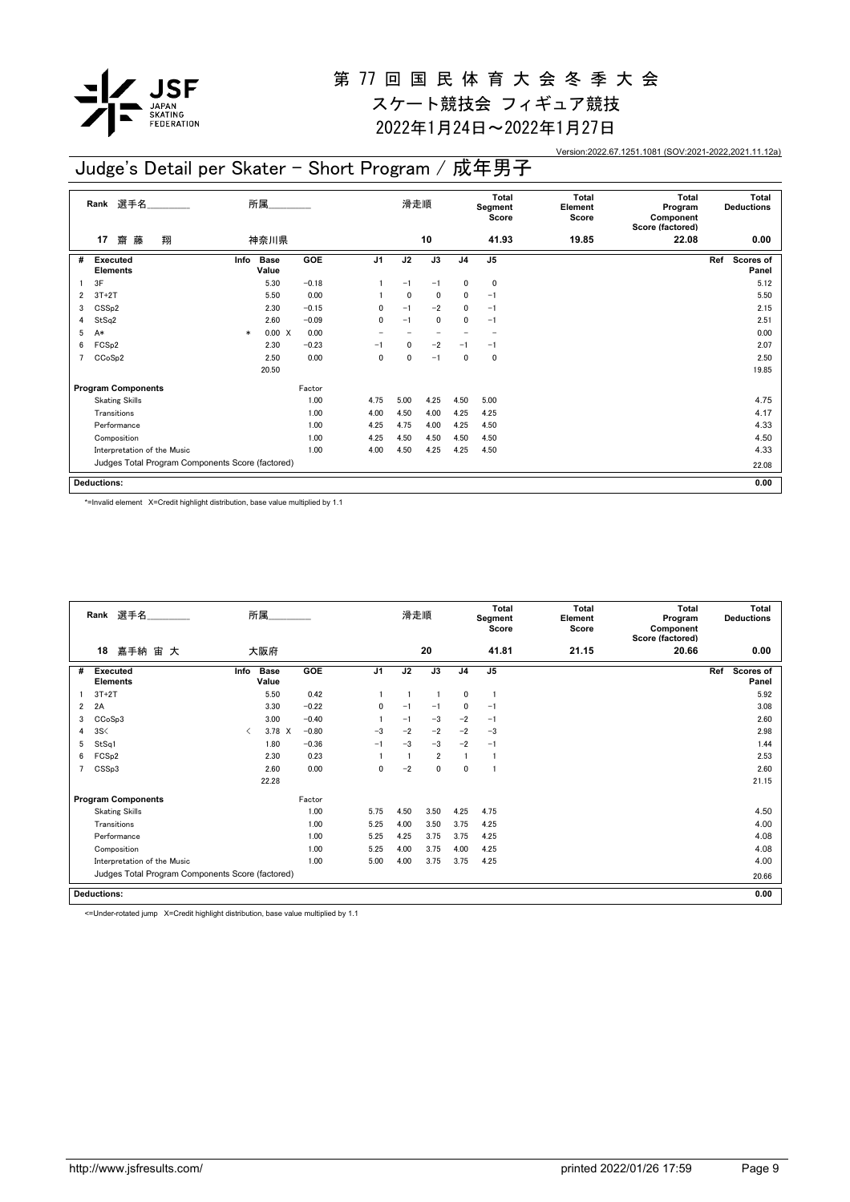

2022年1月24日~2022年1月27日

Version:2022.67.1251.1081 (SOV:2021-2022,2021.11.12a)

#### **17** 齋 藤 翔 **Rank** 選手名\_\_\_\_\_\_\_\_\_\_\_\_\_\_ 滑走順 **Total Segment Score Total Element Score Total Program Component Score (factored) Total Deductions** 神奈川県 **10 41.93 19.85 22.08 0.00 Executed Elements** # Executed Info Base GOE J1 J2 J3 J4 J5 Ref Scores of **Panel Info GOE J1 J2 J3 J4 J5 Ref Program Components** Factor<br>
Skating Skills 1.00 Judges Total Program Components Score (factored) **Deductions:** 所属\_\_\_\_\_\_\_\_\_\_\_\_\_\_ **0.00** Info Base **Value**  $1 \quad 3F$  5.30 -0.18 1 -1 -1 0 0  $2$  3T+2T 5.50 6.00 1 0 0 0 -1 5.50 5.50 3 CSSp2 2.30 −0.15 0 −1 −2 0 −1 2.15 2.15 4 StSq2 2.50 −0.09 0 −1 0 0 −1 2.51  $5 \text{ A*}$   $* \text{ 0.00 X}$   $0.00$   $-$  0.00 6 FCSp2 2.30 -0.23 -1 0 -2 -1 -1 2.07 7 CCoSp2 2.50 0.00 0 0 -1 0 0 2.50 20.50 19.85 Skating Skills 1.00 1.00 4.75 5.00 4.25 4.50 5.00 4.25 4.50 5.00 4.75 Transitions 1.00 4.00 4.50 4.00 4.25 4.25 4.17 Performance 1.00 4.25 4.75 4.00 4.25 4.50 4.33 Composition 1.00 4.25 4.50 4.50 4.50 4.50 4.50 Interpretation of the Music 1.00 4.00 4.50 4.25 4.25 4.25 4.50 4.33 22.08 Judge's Detail per Skater - Short Program / 成年男子

\*=Invalid element X=Credit highlight distribution, base value multiplied by 1.1

|   | Rank 選手名                                         |           | 所属                   |         |                | 滑走順  |                |                | <b>Total</b><br>Segment<br>Score | Total<br>Element<br>Score | Total<br>Program<br>Component<br>Score (factored) | <b>Total</b><br><b>Deductions</b> |
|---|--------------------------------------------------|-----------|----------------------|---------|----------------|------|----------------|----------------|----------------------------------|---------------------------|---------------------------------------------------|-----------------------------------|
|   | 18<br>嘉手納 宙 大                                    |           | 大阪府                  |         |                |      | 20             |                | 41.81                            | 21.15                     | 20.66                                             | 0.00                              |
| # | <b>Executed</b><br><b>Elements</b>               | Info      | <b>Base</b><br>Value | GOE     | J <sub>1</sub> | J2   | J3             | J <sub>4</sub> | J <sub>5</sub>                   |                           |                                                   | Ref<br><b>Scores of</b><br>Panel  |
|   | $3T+2T$                                          |           | 5.50                 | 0.42    |                |      |                | 0              |                                  |                           |                                                   | 5.92                              |
| 2 | 2A                                               |           | 3.30                 | $-0.22$ | 0              | $-1$ | $-1$           | 0              | $-1$                             |                           |                                                   | 3.08                              |
| 3 | CCoSp3                                           |           | 3.00                 | $-0.40$ |                | $-1$ | $-3$           | $-2$           | $-1$                             |                           |                                                   | 2.60                              |
| 4 | 3S<                                              | $\langle$ | 3.78 X               | $-0.80$ | $-3$           | $-2$ | $-2$           | $-2$           | $-3$                             |                           |                                                   | 2.98                              |
| 5 | StSq1                                            |           | 1.80                 | $-0.36$ | $-1$           | $-3$ | $-3$           | $-2$           | $-1$                             |                           |                                                   | 1.44                              |
| 6 | FCS <sub>p2</sub>                                |           | 2.30                 | 0.23    |                |      | $\overline{2}$ |                |                                  |                           |                                                   | 2.53                              |
|   | CSSp3                                            |           | 2.60                 | 0.00    | 0              | $-2$ | 0              | 0              |                                  |                           |                                                   | 2.60                              |
|   |                                                  |           | 22.28                |         |                |      |                |                |                                  |                           |                                                   | 21.15                             |
|   | <b>Program Components</b>                        |           |                      | Factor  |                |      |                |                |                                  |                           |                                                   |                                   |
|   | <b>Skating Skills</b>                            |           |                      | 1.00    | 5.75           | 4.50 | 3.50           | 4.25           | 4.75                             |                           |                                                   | 4.50                              |
|   | Transitions                                      |           |                      | 1.00    | 5.25           | 4.00 | 3.50           | 3.75           | 4.25                             |                           |                                                   | 4.00                              |
|   | Performance                                      |           |                      | 1.00    | 5.25           | 4.25 | 3.75           | 3.75           | 4.25                             |                           |                                                   | 4.08                              |
|   | Composition                                      |           |                      | 1.00    | 5.25           | 4.00 | 3.75           | 4.00           | 4.25                             |                           |                                                   | 4.08                              |
|   | Interpretation of the Music                      |           |                      | 1.00    | 5.00           | 4.00 | 3.75           | 3.75           | 4.25                             |                           |                                                   | 4.00                              |
|   | Judges Total Program Components Score (factored) |           |                      |         |                |      |                |                |                                  |                           |                                                   | 20.66                             |
|   | <b>Deductions:</b>                               |           |                      |         |                |      |                |                |                                  |                           |                                                   | 0.00                              |

<=Under-rotated jump X=Credit highlight distribution, base value multiplied by 1.1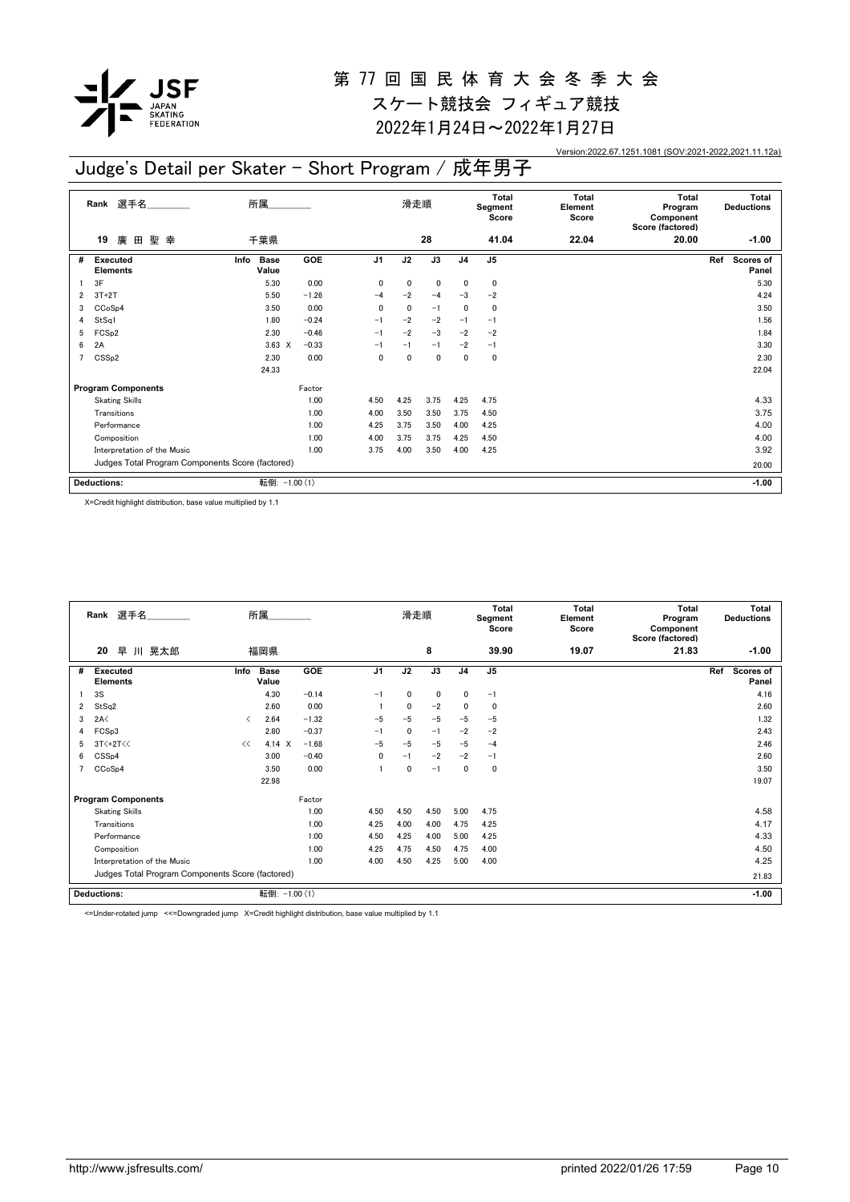

2022年1月24日~2022年1月27日

Version:2022.67.1251.1081 (SOV:2021-2022,2021.11.12a)

## Judge's Detail per Skater - Short Program / 成年男子

|                | 選手名<br>Rank                                      | 所属                           |            |                | 滑走順  |      |                | <b>Total</b><br>Segment<br>Score | Total<br>Element<br>Score | <b>Total</b><br>Program<br>Component<br>Score (factored) | Total<br><b>Deductions</b> |
|----------------|--------------------------------------------------|------------------------------|------------|----------------|------|------|----------------|----------------------------------|---------------------------|----------------------------------------------------------|----------------------------|
|                | 廣<br>聖<br>19<br>田<br>幸                           | 千葉県                          |            |                |      | 28   |                | 41.04                            | 22.04                     | 20.00                                                    | $-1.00$                    |
| #              | Executed<br><b>Elements</b>                      | <b>Base</b><br>Info<br>Value | <b>GOE</b> | J <sub>1</sub> | J2   | J3   | J <sub>4</sub> | J <sub>5</sub>                   |                           |                                                          | Scores of<br>Ref<br>Panel  |
|                | 3F                                               | 5.30                         | 0.00       | 0              | 0    | 0    | 0              | 0                                |                           |                                                          | 5.30                       |
| 2              | $3T+2T$                                          | 5.50                         | $-1.26$    | $-4$           | $-2$ | $-4$ | $-3$           | $-2$                             |                           |                                                          | 4.24                       |
| 3              | CC <sub>o</sub> S <sub>p4</sub>                  | 3.50                         | 0.00       | 0              | 0    | $-1$ | 0              | 0                                |                           |                                                          | 3.50                       |
| 4              | StSq1                                            | 1.80                         | $-0.24$    | $-1$           | $-2$ | $-2$ | $-1$           | $-1$                             |                           |                                                          | 1.56                       |
| 5              | FCS <sub>p2</sub>                                | 2.30                         | $-0.46$    | $-1$           | $-2$ | $-3$ | $-2$           | $-2$                             |                           |                                                          | 1.84                       |
| 6              | 2A                                               | $3.63 \times$                | $-0.33$    | $-1$           | $-1$ | $-1$ | $-2$           | $-1$                             |                           |                                                          | 3.30                       |
| $\overline{7}$ | CSS <sub>p2</sub>                                | 2.30                         | 0.00       | 0              | 0    | 0    | 0              | 0                                |                           |                                                          | 2.30                       |
|                |                                                  | 24.33                        |            |                |      |      |                |                                  |                           |                                                          | 22.04                      |
|                | <b>Program Components</b>                        |                              | Factor     |                |      |      |                |                                  |                           |                                                          |                            |
|                | <b>Skating Skills</b>                            |                              | 1.00       | 4.50           | 4.25 | 3.75 | 4.25           | 4.75                             |                           |                                                          | 4.33                       |
|                | Transitions                                      |                              | 1.00       | 4.00           | 3.50 | 3.50 | 3.75           | 4.50                             |                           |                                                          | 3.75                       |
|                | Performance                                      |                              | 1.00       | 4.25           | 3.75 | 3.50 | 4.00           | 4.25                             |                           |                                                          | 4.00                       |
|                | Composition                                      |                              | 1.00       | 4.00           | 3.75 | 3.75 | 4.25           | 4.50                             |                           |                                                          | 4.00                       |
|                | Interpretation of the Music                      |                              | 1.00       | 3.75           | 4.00 | 3.50 | 4.00           | 4.25                             |                           |                                                          | 3.92                       |
|                | Judges Total Program Components Score (factored) |                              |            |                |      |      |                |                                  | 20.00                     |                                                          |                            |
|                | <b>Deductions:</b>                               | 転倒: -1.00 (1)                |            |                |      |      |                |                                  |                           |                                                          | $-1.00$                    |

X=Credit highlight distribution, base value multiplied by 1.1

|   | 所属<br>Rank 選手名<br>早<br>川 晃太郎<br>20               |                               |                      |         |                | 滑走順          |              |                | <b>Total</b><br>Segment<br>Score | <b>Total</b><br>Element<br>Score | Total<br>Program<br>Component<br>Score (factored) | <b>Total</b><br><b>Deductions</b> |
|---|--------------------------------------------------|-------------------------------|----------------------|---------|----------------|--------------|--------------|----------------|----------------------------------|----------------------------------|---------------------------------------------------|-----------------------------------|
|   |                                                  |                               | 福岡県                  |         |                |              | 8            |                | 39.90                            | 19.07                            | 21.83                                             | $-1.00$                           |
| # | Executed<br><b>Elements</b>                      | Info                          | <b>Base</b><br>Value | GOE     | J <sub>1</sub> | J2           | J3           | J <sub>4</sub> | J <sub>5</sub>                   |                                  |                                                   | Ref<br>Scores of<br>Panel         |
|   | 3S                                               |                               | 4.30                 | $-0.14$ | $-1$           | $\mathbf{0}$ | $\mathbf{0}$ | 0              | $-1$                             |                                  |                                                   | 4.16                              |
| 2 | StSq2                                            |                               | 2.60                 | 0.00    |                | $\mathbf{0}$ | $-2$         | 0              | $\Omega$                         |                                  |                                                   | 2.60                              |
| 3 | 2A<                                              | $\overline{\left( \right. }%$ | 2.64                 | $-1.32$ | $-5$           | $-5$         | $-5$         | $-5$           | $-5$                             |                                  |                                                   | 1.32                              |
|   | FCSp3                                            |                               | 2.80                 | $-0.37$ | $-1$           | $\mathbf{0}$ | $-1$         | $-2$           | $-2$                             |                                  |                                                   | 2.43                              |
| 5 | $3T<+2T<<$                                       | <<                            | 4.14 X               | $-1.68$ | $-5$           | $-5$         | $-5$         | $-5$           | $-4$                             |                                  |                                                   | 2.46                              |
| 6 | CSS <sub>p4</sub>                                |                               | 3.00                 | $-0.40$ | 0              | $-1$         | $-2$         | $-2$           | $-1$                             |                                  |                                                   | 2.60                              |
|   | CCoSp4                                           |                               | 3.50                 | 0.00    |                | $\mathbf{0}$ | $-1$         | 0              | $\mathbf 0$                      |                                  |                                                   | 3.50                              |
|   |                                                  |                               | 22.98                |         |                |              |              |                |                                  |                                  |                                                   | 19.07                             |
|   | <b>Program Components</b>                        |                               |                      | Factor  |                |              |              |                |                                  |                                  |                                                   |                                   |
|   | <b>Skating Skills</b>                            |                               |                      | 1.00    | 4.50           | 4.50         | 4.50         | 5.00           | 4.75                             |                                  |                                                   | 4.58                              |
|   | Transitions                                      |                               |                      | 1.00    | 4.25           | 4.00         | 4.00         | 4.75           | 4.25                             |                                  |                                                   | 4.17                              |
|   | Performance                                      |                               |                      | 1.00    | 4.50           | 4.25         | 4.00         | 5.00           | 4.25                             |                                  |                                                   | 4.33                              |
|   | Composition                                      |                               |                      | 1.00    | 4.25           | 4.75         | 4.50         | 4.75           | 4.00                             |                                  |                                                   | 4.50                              |
|   | Interpretation of the Music                      |                               |                      | 1.00    | 4.00           | 4.50         | 4.25         | 5.00           | 4.00                             |                                  |                                                   | 4.25                              |
|   | Judges Total Program Components Score (factored) |                               |                      |         |                |              |              |                |                                  |                                  |                                                   | 21.83                             |
|   | <b>Deductions:</b>                               |                               | 転倒: -1.00 (1)        |         |                |              |              |                |                                  |                                  |                                                   | $-1.00$                           |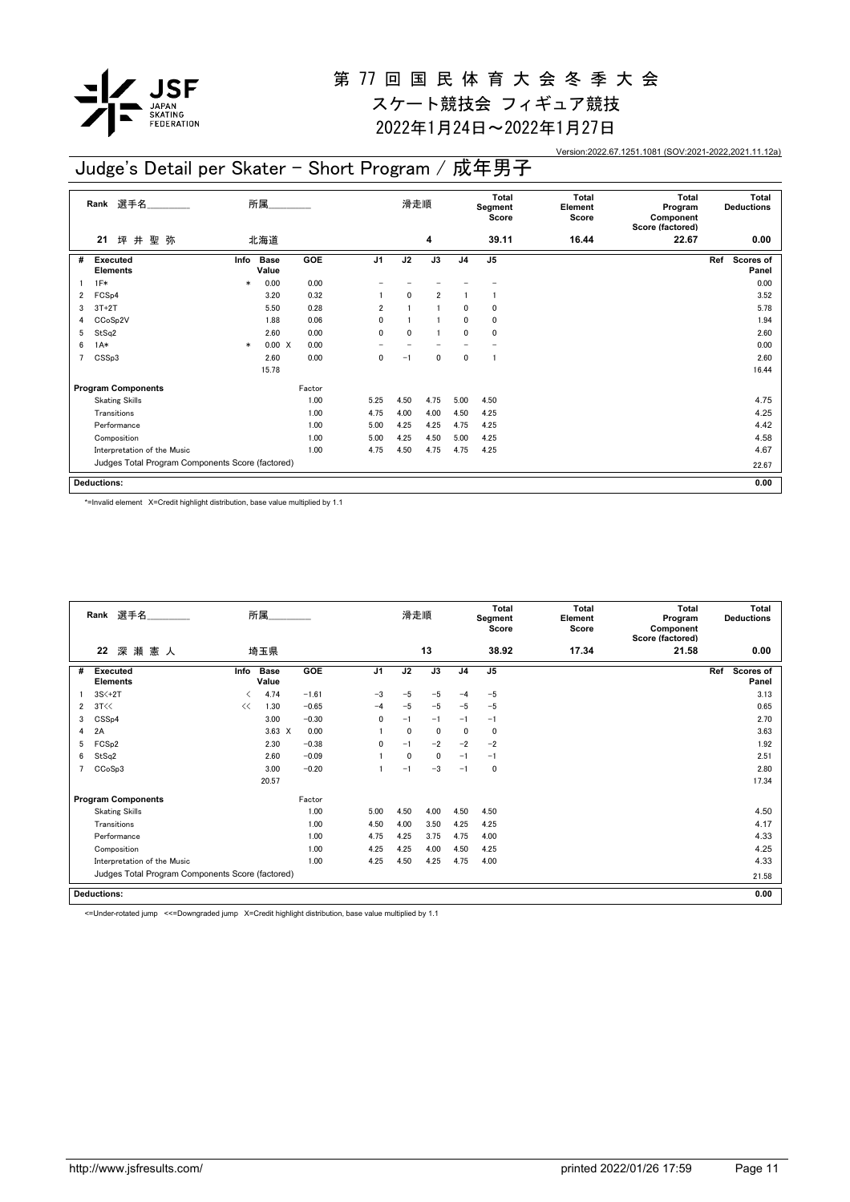

スケート競技会 フィギュア競技 2022年1月24日~2022年1月27日

Version:2022.67.1251.1081 (SOV:2021-2022,2021.11.12a)

### Judge's Detail per Skater - Short Program / 成年男子

|                | Rank 選手名                                         |        | 所属                   |        |                | 滑走順          |                |                | Total<br>Segment<br>Score | <b>Total</b><br>Element<br>Score | <b>Total</b><br>Program<br>Component<br>Score (factored) | Total<br><b>Deductions</b> |
|----------------|--------------------------------------------------|--------|----------------------|--------|----------------|--------------|----------------|----------------|---------------------------|----------------------------------|----------------------------------------------------------|----------------------------|
|                | 坪井聖弥<br>21                                       |        | 北海道                  |        |                |              | 4              |                | 39.11                     | 16.44                            | 22.67                                                    | 0.00                       |
| #              | Executed<br><b>Elements</b>                      | Info   | <b>Base</b><br>Value | GOE    | J <sub>1</sub> | J2           | J3             | J <sub>4</sub> | J <sub>5</sub>            |                                  |                                                          | Ref<br>Scores of<br>Panel  |
|                | $1F*$                                            | $\ast$ | 0.00                 | 0.00   |                |              |                |                |                           |                                  |                                                          | 0.00                       |
| 2              | FCS <sub>p4</sub>                                |        | 3.20                 | 0.32   |                | $\mathbf{0}$ | $\overline{2}$ |                |                           |                                  |                                                          | 3.52                       |
| 3              | $3T+2T$                                          |        | 5.50                 | 0.28   | $\overline{2}$ |              |                | $\mathbf{0}$   | 0                         |                                  |                                                          | 5.78                       |
| 4              | CCoSp2V                                          |        | 1.88                 | 0.06   | 0              |              |                | $\mathbf{0}$   | 0                         |                                  |                                                          | 1.94                       |
| 5              | StSq2                                            |        | 2.60                 | 0.00   | $\mathbf{0}$   | 0            |                | $\mathbf{0}$   | 0                         |                                  |                                                          | 2.60                       |
| 6              | $1A*$                                            | $\ast$ | 0.00 X               | 0.00   |                |              |                |                |                           |                                  |                                                          | 0.00                       |
| $\overline{7}$ | CSSp3                                            |        | 2.60                 | 0.00   | 0              | $-1$         | $\mathbf{0}$   | $\mathbf{0}$   | $\mathbf{1}$              |                                  |                                                          | 2.60                       |
|                |                                                  |        | 15.78                |        |                |              |                |                |                           |                                  |                                                          | 16.44                      |
|                | <b>Program Components</b>                        |        |                      | Factor |                |              |                |                |                           |                                  |                                                          |                            |
|                | <b>Skating Skills</b>                            |        |                      | 1.00   | 5.25           | 4.50         | 4.75           | 5.00           | 4.50                      |                                  |                                                          | 4.75                       |
|                | Transitions                                      |        |                      | 1.00   | 4.75           | 4.00         | 4.00           | 4.50           | 4.25                      |                                  |                                                          | 4.25                       |
|                | Performance                                      |        |                      | 1.00   | 5.00           | 4.25         | 4.25           | 4.75           | 4.25                      |                                  |                                                          | 4.42                       |
|                | Composition                                      |        |                      | 1.00   | 5.00           | 4.25         | 4.50           | 5.00           | 4.25                      |                                  |                                                          | 4.58                       |
|                | Interpretation of the Music                      |        |                      | 1.00   | 4.75           | 4.50         | 4.75           | 4.75           | 4.25                      |                                  |                                                          | 4.67                       |
|                | Judges Total Program Components Score (factored) |        |                      |        |                |              |                |                |                           |                                  |                                                          | 22.67                      |
|                | <b>Deductions:</b>                               |        |                      |        |                |              |                |                |                           |                                  |                                                          | 0.00                       |

\*=Invalid element X=Credit highlight distribution, base value multiplied by 1.1

|                | 選手名<br>Rank                                      |      | 所属                   |            |                | 滑走順          |      |                | <b>Total</b><br>Segment<br>Score | Total<br>Element<br>Score | <b>Total</b><br>Program<br>Component<br>Score (factored) | Total<br><b>Deductions</b>       |
|----------------|--------------------------------------------------|------|----------------------|------------|----------------|--------------|------|----------------|----------------------------------|---------------------------|----------------------------------------------------------|----------------------------------|
|                | 深瀬憲人<br>22                                       |      | 埼玉県                  |            |                |              | 13   |                | 38.92                            | 17.34                     | 21.58                                                    | 0.00                             |
| #              | <b>Executed</b><br><b>Elements</b>               | Info | <b>Base</b><br>Value | <b>GOE</b> | J <sub>1</sub> | J2           | J3   | J <sub>4</sub> | J <sub>5</sub>                   |                           |                                                          | Ref<br><b>Scores of</b><br>Panel |
|                | $3S<+2T$                                         | ✓    | 4.74                 | $-1.61$    | $-3$           | $-5$         | $-5$ | $-4$           | $-5$                             |                           |                                                          | 3.13                             |
| $\overline{2}$ | 3T<<                                             | <<   | 1.30                 | $-0.65$    | $-4$           | $-5$         | $-5$ | $-5$           | $-5$                             |                           |                                                          | 0.65                             |
| 3              | CSS <sub>p4</sub>                                |      | 3.00                 | $-0.30$    | 0              | $-1$         | $-1$ | $-1$           | $-1$                             |                           |                                                          | 2.70                             |
| 4              | 2A                                               |      | $3.63 \t X$          | 0.00       |                | 0            | 0    | $\Omega$       | 0                                |                           |                                                          | 3.63                             |
| 5              | FCS <sub>p2</sub>                                |      | 2.30                 | $-0.38$    | $\mathbf{0}$   | $-1$         | $-2$ | $-2$           | $-2$                             |                           |                                                          | 1.92                             |
| 6              | StSq2                                            |      | 2.60                 | $-0.09$    |                | $\mathbf{0}$ | 0    | $-1$           | $-1$                             |                           |                                                          | 2.51                             |
| 7              | CCoSp3                                           |      | 3.00                 | $-0.20$    |                | $-1$         | $-3$ | $-1$           | 0                                |                           |                                                          | 2.80                             |
|                |                                                  |      | 20.57                |            |                |              |      |                |                                  |                           |                                                          | 17.34                            |
|                | <b>Program Components</b>                        |      |                      | Factor     |                |              |      |                |                                  |                           |                                                          |                                  |
|                | <b>Skating Skills</b>                            |      |                      | 1.00       | 5.00           | 4.50         | 4.00 | 4.50           | 4.50                             |                           |                                                          | 4.50                             |
|                | Transitions                                      |      |                      | 1.00       | 4.50           | 4.00         | 3.50 | 4.25           | 4.25                             |                           |                                                          | 4.17                             |
|                | Performance                                      |      |                      | 1.00       | 4.75           | 4.25         | 3.75 | 4.75           | 4.00                             |                           |                                                          | 4.33                             |
|                | Composition                                      |      |                      | 1.00       | 4.25           | 4.25         | 4.00 | 4.50           | 4.25                             |                           |                                                          | 4.25                             |
|                | Interpretation of the Music                      |      |                      | 1.00       | 4.25           | 4.50         | 4.25 | 4.75           | 4.00                             |                           |                                                          | 4.33                             |
|                | Judges Total Program Components Score (factored) |      |                      |            |                |              |      |                |                                  |                           |                                                          | 21.58                            |
|                | <b>Deductions:</b>                               |      |                      |            |                |              |      |                |                                  |                           |                                                          | 0.00                             |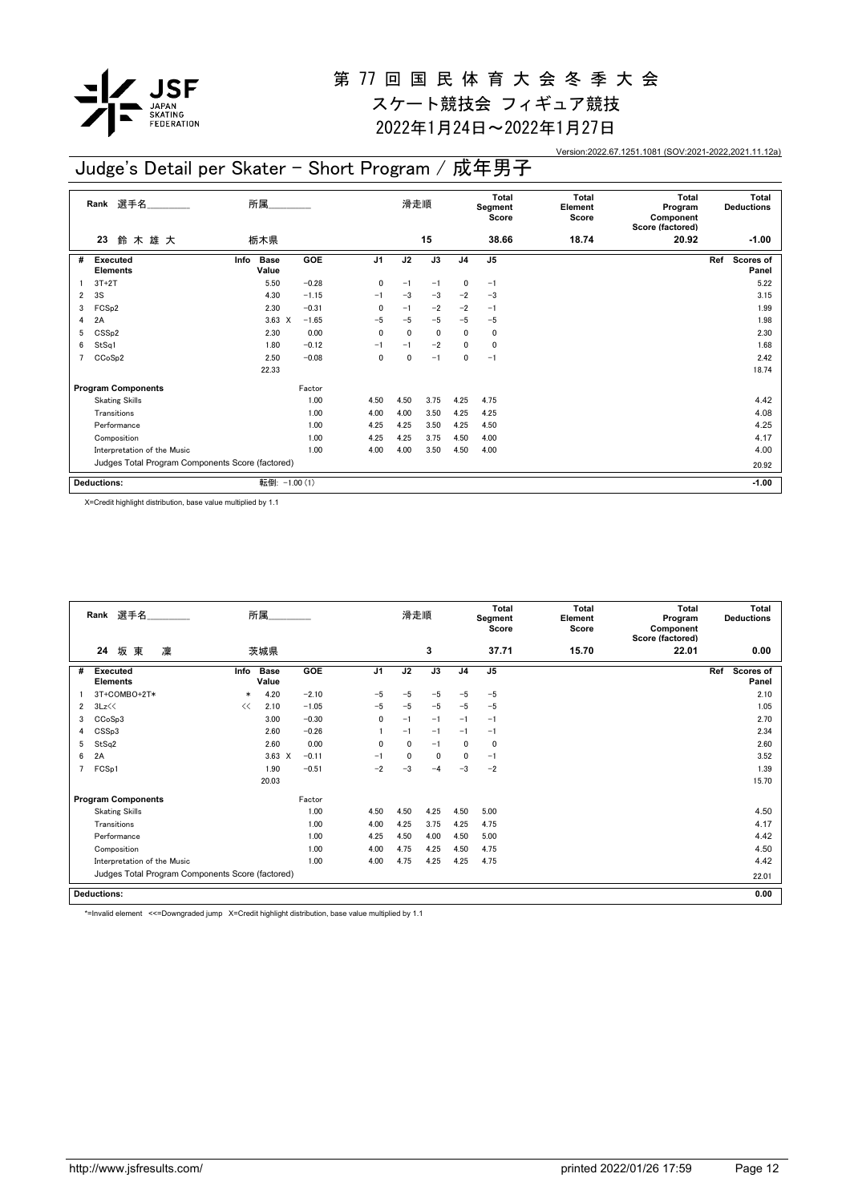

2022年1月24日~2022年1月27日

Version:2022.67.1251.1081 (SOV:2021-2022,2021.11.12a)

**Total Deductions**

**Ref** Scores of

#### **23** 鈴 木 雄 大 **Rank** 選手名\_\_\_\_\_\_\_\_\_\_\_\_\_\_ 滑走順 **Total Segment Score Total Element Score Total Program Component Score (factored)** 栃木県 **15 38.66 18.74 20.92 -1.00 Executed Elements** # Executed Info Base GOE J1 J2 J3 J4 J5 Ref Scores of **Info GOE J1 J2 J3 J4 J5 Ref** 所属\_\_\_\_\_\_\_\_\_\_\_\_\_\_ Info Base **Value**  $1 \quad 3T+2T$   $5.50$   $-0.28$   $0$   $-1$   $-1$   $0$   $-1$ 2 3S 4.30 -1.15 -1 -3 -3 -2 -3 3.15 Judge's Detail per Skater - Short Program / 成年男子

|   | <b>Deductions:</b>                               | 転倒:           | $-1.00(1)$ |      |      |      |      |       | $-1.00$ |
|---|--------------------------------------------------|---------------|------------|------|------|------|------|-------|---------|
|   | Judges Total Program Components Score (factored) |               |            |      |      |      |      | 20.92 |         |
|   | Interpretation of the Music                      |               | 1.00       | 4.00 | 4.00 | 3.50 | 4.50 | 4.00  | 4.00    |
|   | Composition                                      |               | 1.00       | 4.25 | 4.25 | 3.75 | 4.50 | 4.00  | 4.17    |
|   | Performance                                      |               | 1.00       | 4.25 | 4.25 | 3.50 | 4.25 | 4.50  | 4.25    |
|   | Transitions                                      |               | 1.00       | 4.00 | 4.00 | 3.50 | 4.25 | 4.25  | 4.08    |
|   | <b>Skating Skills</b>                            |               | 1.00       | 4.50 | 4.50 | 3.75 | 4.25 | 4.75  | 4.42    |
|   | <b>Program Components</b>                        |               | Factor     |      |      |      |      |       |         |
|   |                                                  | 22.33         |            |      |      |      |      |       | 18.74   |
|   | CCoSp2                                           | 2.50          | $-0.08$    | 0    | 0    | $-1$ | 0    | $-1$  | 2.42    |
| 6 | StSq1                                            | 1.80          | $-0.12$    | $-1$ | $-1$ | $-2$ | 0    | 0     | 1.68    |
| 5 | CSS <sub>p2</sub>                                | 2.30          | 0.00       | 0    | 0    | 0    | 0    | 0     | 2.30    |
| 4 | 2A                                               | $3.63 \times$ | $-1.65$    | $-5$ | $-5$ | $-5$ | $-5$ | $-5$  | 1.98    |
| 3 | FCS <sub>p2</sub>                                | 2.30          | $-0.31$    | 0    | $-1$ | $-2$ | $-2$ | $-1$  | 1.99    |

X=Credit highlight distribution, base value multiplied by 1.1

|                | Rank 選手名                                         |        | 所属                   |         |                | 滑走順  |      |                | <b>Total</b><br>Segment<br>Score | <b>Total</b><br>Element<br>Score | Total<br>Program<br>Component<br>Score (factored) | Total<br><b>Deductions</b>       |
|----------------|--------------------------------------------------|--------|----------------------|---------|----------------|------|------|----------------|----------------------------------|----------------------------------|---------------------------------------------------|----------------------------------|
|                | 坂東<br>凜<br>24                                    |        | 茨城県                  |         |                |      | 3    |                | 37.71                            | 15.70                            | 22.01                                             | 0.00                             |
| #              | <b>Executed</b><br><b>Elements</b>               | Info   | <b>Base</b><br>Value | GOE     | J <sub>1</sub> | J2   | J3   | J <sub>4</sub> | J <sub>5</sub>                   |                                  |                                                   | Ref<br><b>Scores of</b><br>Panel |
|                | 3T+COMBO+2T*                                     | $\ast$ | 4.20                 | $-2.10$ | $-5$           | $-5$ | $-5$ | $-5$           | $-5$                             |                                  |                                                   | 2.10                             |
| $\overline{2}$ | 3Lz<<                                            | <<     | 2.10                 | $-1.05$ | $-5$           | $-5$ | $-5$ | $-5$           | $-5$                             |                                  |                                                   | 1.05                             |
| 3              | CCoSp3                                           |        | 3.00                 | $-0.30$ | 0              | $-1$ | $-1$ | $-1$           | $-1$                             |                                  |                                                   | 2.70                             |
| 4              | CSSp3                                            |        | 2.60                 | $-0.26$ |                | $-1$ | $-1$ | $-1$           | $-1$                             |                                  |                                                   | 2.34                             |
| 5              | StSq2                                            |        | 2.60                 | 0.00    | $\mathbf{0}$   | 0    | $-1$ | $\mathbf{0}$   | 0                                |                                  |                                                   | 2.60                             |
| 6              | 2A                                               |        | 3.63<br>$\times$     | $-0.11$ | $-1$           | 0    | 0    | 0              | $-1$                             |                                  |                                                   | 3.52                             |
| 7              | FCSp1                                            |        | 1.90                 | $-0.51$ | $-2$           | -3   | $-4$ | $-3$           | $-2$                             |                                  |                                                   | 1.39                             |
|                |                                                  |        | 20.03                |         |                |      |      |                |                                  |                                  |                                                   | 15.70                            |
|                | <b>Program Components</b>                        |        |                      | Factor  |                |      |      |                |                                  |                                  |                                                   |                                  |
|                | <b>Skating Skills</b>                            |        |                      | 1.00    | 4.50           | 4.50 | 4.25 | 4.50           | 5.00                             |                                  |                                                   | 4.50                             |
|                | Transitions                                      |        |                      | 1.00    | 4.00           | 4.25 | 3.75 | 4.25           | 4.75                             |                                  |                                                   | 4.17                             |
|                | Performance                                      |        |                      | 1.00    | 4.25           | 4.50 | 4.00 | 4.50           | 5.00                             |                                  |                                                   | 4.42                             |
|                | Composition                                      |        |                      | 1.00    | 4.00           | 4.75 | 4.25 | 4.50           | 4.75                             |                                  |                                                   | 4.50                             |
|                | Interpretation of the Music                      |        |                      | 1.00    | 4.00           | 4.75 | 4.25 | 4.25           | 4.75                             |                                  |                                                   | 4.42                             |
|                | Judges Total Program Components Score (factored) |        |                      |         |                |      |      |                |                                  |                                  |                                                   | 22.01                            |
|                | <b>Deductions:</b>                               |        |                      |         |                |      |      |                |                                  |                                  |                                                   | 0.00                             |

\*=Invalid element <<=Downgraded jump X=Credit highlight distribution, base value multiplied by 1.1